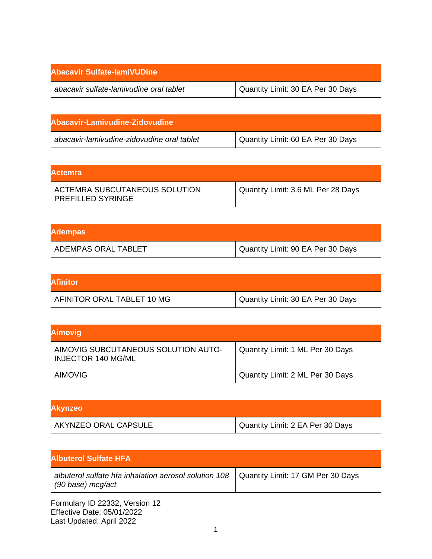| Abacavir Sulfate-lamiVUDine             |                                   |
|-----------------------------------------|-----------------------------------|
| abacavir sulfate-lamivudine oral tablet | Quantity Limit: 30 EA Per 30 Days |

| Abacavir-Lamivudine-Zidovudine             |                                   |
|--------------------------------------------|-----------------------------------|
| abacavir-lamivudine-zidovudine oral tablet | Quantity Limit: 60 EA Per 30 Days |

| <b>Actemra</b>                                            |                                    |
|-----------------------------------------------------------|------------------------------------|
| ACTEMRA SUBCUTANEOUS SOLUTION<br><b>PREFILLED SYRINGE</b> | Quantity Limit: 3.6 ML Per 28 Days |

| <b>Adempas</b>      |                                   |
|---------------------|-----------------------------------|
| ADEMPAS ORAL TABLET | Quantity Limit: 90 EA Per 30 Days |

| <b>Afinitor</b>            |                                   |
|----------------------------|-----------------------------------|
| AFINITOR ORAL TABLET 10 MG | Quantity Limit: 30 EA Per 30 Days |

| <b>Aimovig</b>                                                   |                                  |
|------------------------------------------------------------------|----------------------------------|
| AIMOVIG SUBCUTANEOUS SOLUTION AUTO-<br><b>INJECTOR 140 MG/ML</b> | Quantity Limit: 1 ML Per 30 Days |
| <b>AIMOVIG</b>                                                   | Quantity Limit: 2 ML Per 30 Days |

| <b>Akynzeo</b>       |                                  |
|----------------------|----------------------------------|
| AKYNZEO ORAL CAPSULE | Quantity Limit: 2 EA Per 30 Days |

| <b>Albuterol Sulfate HFA</b>                                               |                                   |
|----------------------------------------------------------------------------|-----------------------------------|
| albuterol sulfate hfa inhalation aerosol solution 108<br>(90 base) mcg/act | Quantity Limit: 17 GM Per 30 Days |
| Formulary ID 22332, Version 12<br>Effective Date: 05/01/2022               |                                   |

Last Updated: April 2022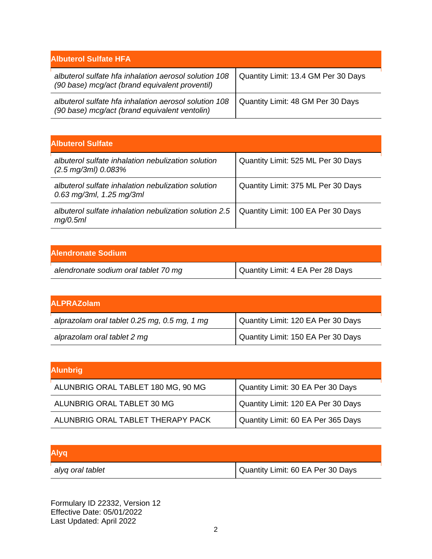| <b>Albuterol Sulfate HFA</b>                                                                            |                                     |
|---------------------------------------------------------------------------------------------------------|-------------------------------------|
| albuterol sulfate hfa inhalation aerosol solution 108<br>(90 base) mcg/act (brand equivalent proventil) | Quantity Limit: 13.4 GM Per 30 Days |
| albuterol sulfate hfa inhalation aerosol solution 108<br>(90 base) mcg/act (brand equivalent ventolin)  | Quantity Limit: 48 GM Per 30 Days   |

| <b>Albuterol Sulfate</b>                                                            |                                    |
|-------------------------------------------------------------------------------------|------------------------------------|
| albuterol sulfate inhalation nebulization solution<br>$(2.5 \text{ mg/3ml})$ 0.083% | Quantity Limit: 525 ML Per 30 Days |
| albuterol sulfate inhalation nebulization solution<br>$0.63$ mg/3ml, 1.25 mg/3ml    | Quantity Limit: 375 ML Per 30 Days |
| albuterol sulfate inhalation nebulization solution 2.5<br>mq/0.5ml                  | Quantity Limit: 100 EA Per 30 Days |

| <b>Alendronate Sodium</b>            |                                  |
|--------------------------------------|----------------------------------|
| alendronate sodium oral tablet 70 mg | Quantity Limit: 4 EA Per 28 Days |

| <b>ALPRAZolam</b>                            |                                    |
|----------------------------------------------|------------------------------------|
| alprazolam oral tablet 0.25 mg, 0.5 mg, 1 mg | Quantity Limit: 120 EA Per 30 Days |
| alprazolam oral tablet 2 mg                  | Quantity Limit: 150 EA Per 30 Days |

| <b>Alunbrig</b>                    |                                    |
|------------------------------------|------------------------------------|
| ALUNBRIG ORAL TABLET 180 MG, 90 MG | Quantity Limit: 30 EA Per 30 Days  |
| ALUNBRIG ORAL TABLET 30 MG         | Quantity Limit: 120 EA Per 30 Days |
| ALUNBRIG ORAL TABLET THERAPY PACK  | Quantity Limit: 60 EA Per 365 Days |

| <b>Alyq</b>      |                                   |
|------------------|-----------------------------------|
| alyq oral tablet | Quantity Limit: 60 EA Per 30 Days |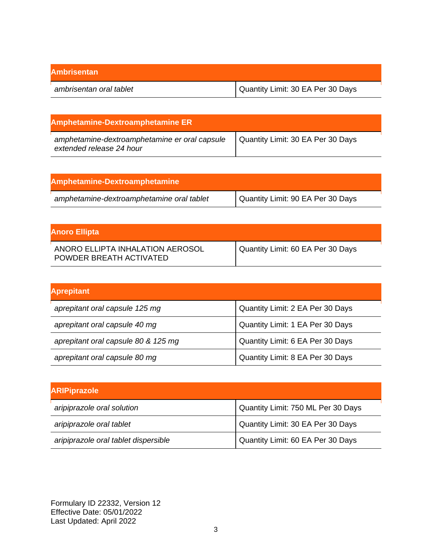| <b>Ambrisentan</b>      |                                   |
|-------------------------|-----------------------------------|
| ambrisentan oral tablet | Quantity Limit: 30 EA Per 30 Days |

| <b>Amphetamine-Dextroamphetamine ER</b>                                   |                                   |
|---------------------------------------------------------------------------|-----------------------------------|
| amphetamine-dextroamphetamine er oral capsule<br>extended release 24 hour | Quantity Limit: 30 EA Per 30 Days |

| Amphetamine-Dextroamphetamine             |                                   |
|-------------------------------------------|-----------------------------------|
| amphetamine-dextroamphetamine oral tablet | Quantity Limit: 90 EA Per 30 Days |

| <b>Anoro Ellipta</b>                                        |                                   |
|-------------------------------------------------------------|-----------------------------------|
| ANORO ELLIPTA INHALATION AEROSOL<br>POWDER BREATH ACTIVATED | Quantity Limit: 60 EA Per 30 Days |

| <b>Aprepitant</b>                   |                                  |
|-------------------------------------|----------------------------------|
| aprepitant oral capsule 125 mg      | Quantity Limit: 2 EA Per 30 Days |
| aprepitant oral capsule 40 mg       | Quantity Limit: 1 EA Per 30 Days |
| aprepitant oral capsule 80 & 125 mg | Quantity Limit: 6 EA Per 30 Days |
| aprepitant oral capsule 80 mg       | Quantity Limit: 8 EA Per 30 Days |

| <b>ARIPiprazole</b>                  |                                    |
|--------------------------------------|------------------------------------|
| aripiprazole oral solution           | Quantity Limit: 750 ML Per 30 Days |
| aripiprazole oral tablet             | Quantity Limit: 30 EA Per 30 Days  |
| aripiprazole oral tablet dispersible | Quantity Limit: 60 EA Per 30 Days  |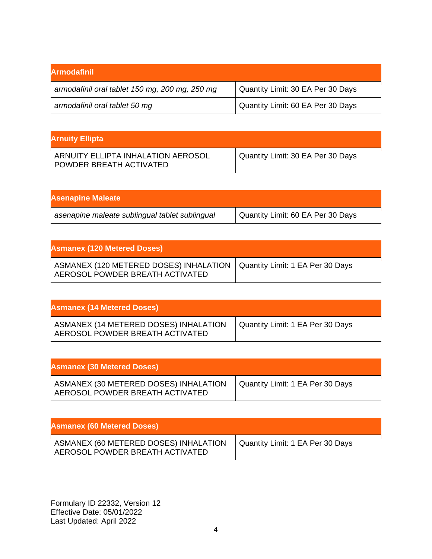| Armodafinil_                                   |                                   |
|------------------------------------------------|-----------------------------------|
| armodafinil oral tablet 150 mg, 200 mg, 250 mg | Quantity Limit: 30 EA Per 30 Days |
| armodafinil oral tablet 50 mg                  | Quantity Limit: 60 EA Per 30 Days |

| <b>Arnuity Ellipta</b>                                        |                                   |
|---------------------------------------------------------------|-----------------------------------|
| ARNUITY ELLIPTA INHALATION AEROSOL<br>POWDER BREATH ACTIVATED | Quantity Limit: 30 EA Per 30 Days |

| <b>Asenapine Maleate</b>                       |                                   |
|------------------------------------------------|-----------------------------------|
| asenapine maleate sublingual tablet sublingual | Quantity Limit: 60 EA Per 30 Days |

| <b>Asmanex (120 Metered Doses)</b>                                                                           |  |
|--------------------------------------------------------------------------------------------------------------|--|
| ASMANEX (120 METERED DOSES) INHALATION   Quantity Limit: 1 EA Per 30 Days<br>AEROSOL POWDER BREATH ACTIVATED |  |

| <b>Asmanex (14 Metered Doses)</b>                                        |                                  |
|--------------------------------------------------------------------------|----------------------------------|
| ASMANEX (14 METERED DOSES) INHALATION<br>AEROSOL POWDER BREATH ACTIVATED | Quantity Limit: 1 EA Per 30 Days |

| <b>Asmanex (30 Metered Doses)</b>                                        |                                  |
|--------------------------------------------------------------------------|----------------------------------|
| ASMANEX (30 METERED DOSES) INHALATION<br>AEROSOL POWDER BREATH ACTIVATED | Quantity Limit: 1 EA Per 30 Days |

| <b>Asmanex (60 Metered Doses)</b>                                        |                                  |
|--------------------------------------------------------------------------|----------------------------------|
| ASMANEX (60 METERED DOSES) INHALATION<br>AEROSOL POWDER BREATH ACTIVATED | Quantity Limit: 1 EA Per 30 Days |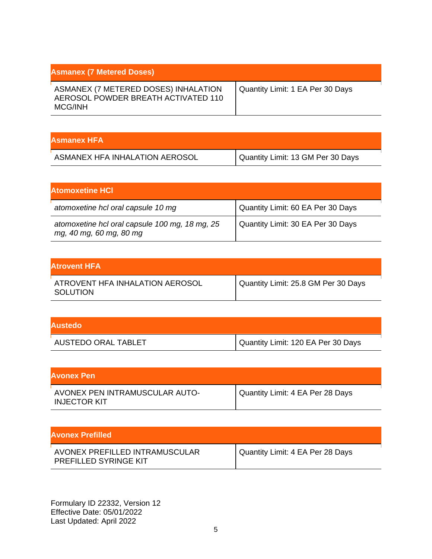| <b>Asmanex (7 Metered Doses)</b>                                                              |                                  |
|-----------------------------------------------------------------------------------------------|----------------------------------|
| ASMANEX (7 METERED DOSES) INHALATION<br>AEROSOL POWDER BREATH ACTIVATED 110<br><b>MCG/INH</b> | Quantity Limit: 1 EA Per 30 Days |

| Asmanex HFA                    |                                   |
|--------------------------------|-----------------------------------|
| ASMANEX HFA INHALATION AEROSOL | Quantity Limit: 13 GM Per 30 Days |

| <b>Atomoxetine HCI</b>                                                    |                                   |
|---------------------------------------------------------------------------|-----------------------------------|
| atomoxetine hcl oral capsule 10 mg                                        | Quantity Limit: 60 EA Per 30 Days |
| atomoxetine hcl oral capsule 100 mg, 18 mg, 25<br>mg, 40 mg, 60 mg, 80 mg | Quantity Limit: 30 EA Per 30 Days |

| lAtrovent HFA                               |                                     |
|---------------------------------------------|-------------------------------------|
| ATROVENT HFA INHALATION AEROSOL<br>SOLUTION | Quantity Limit: 25.8 GM Per 30 Days |

| <b>Austedo</b>             |                                    |
|----------------------------|------------------------------------|
| <b>AUSTEDO ORAL TABLET</b> | Quantity Limit: 120 EA Per 30 Days |

| <b>Avonex Pen</b>                                     |                                  |
|-------------------------------------------------------|----------------------------------|
| AVONEX PEN INTRAMUSCULAR AUTO-<br><b>INJECTOR KIT</b> | Quantity Limit: 4 EA Per 28 Days |

| <b>Avonex Prefilled</b>                                        |                                  |
|----------------------------------------------------------------|----------------------------------|
| AVONEX PREFILLED INTRAMUSCULAR<br><b>PREFILLED SYRINGE KIT</b> | Quantity Limit: 4 EA Per 28 Days |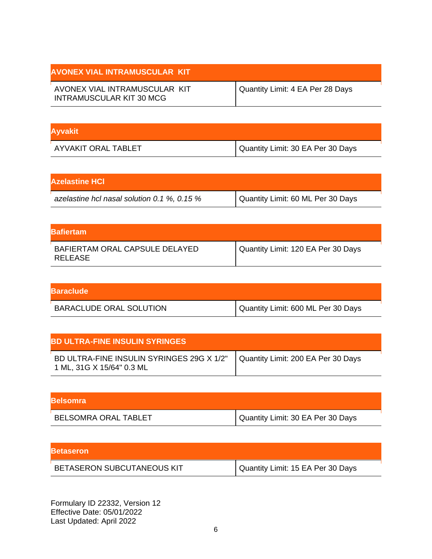| <b>AVONEX VIAL INTRAMUSCULAR KIT</b>                             |                                  |
|------------------------------------------------------------------|----------------------------------|
| AVONEX VIAL INTRAMUSCULAR KIT<br><b>INTRAMUSCULAR KIT 30 MCG</b> | Quantity Limit: 4 EA Per 28 Days |

| <b>Ayvakit</b>      |                                   |
|---------------------|-----------------------------------|
| AYVAKIT ORAL TABLET | Quantity Limit: 30 EA Per 30 Days |

| <b>Azelastine HCI</b>                       |                                   |
|---------------------------------------------|-----------------------------------|
| azelastine hcl nasal solution 0.1 %, 0.15 % | Quantity Limit: 60 ML Per 30 Days |

| <b>Bafiertam</b>                          |                                    |
|-------------------------------------------|------------------------------------|
| BAFIERTAM ORAL CAPSULE DELAYED<br>RELEASE | Quantity Limit: 120 EA Per 30 Days |

| <b>Baraclude</b>               |                                      |
|--------------------------------|--------------------------------------|
| <b>BARACLUDE ORAL SOLUTION</b> | I Quantity Limit: 600 ML Per 30 Days |

| <b>BD ULTRA-FINE INSULIN SYRINGES</b>                                  |                                    |
|------------------------------------------------------------------------|------------------------------------|
| BD ULTRA-FINE INSULIN SYRINGES 29G X 1/2"<br>1 ML, 31G X 15/64" 0.3 ML | Quantity Limit: 200 EA Per 30 Days |

| <b>Belsomra</b>             |                                   |
|-----------------------------|-----------------------------------|
| <b>BELSOMRA ORAL TABLET</b> | Quantity Limit: 30 EA Per 30 Days |

| <b>IBetaseron</b>                 |                                   |
|-----------------------------------|-----------------------------------|
| <b>BETASERON SUBCUTANEOUS KIT</b> | Quantity Limit: 15 EA Per 30 Days |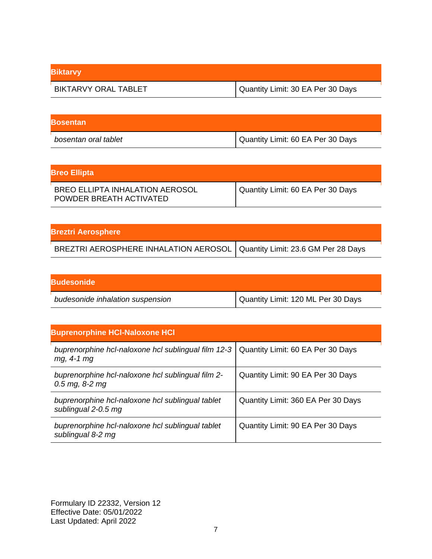| <b>Biktarvy</b>             |                                   |
|-----------------------------|-----------------------------------|
| <b>BIKTARVY ORAL TABLET</b> | Quantity Limit: 30 EA Per 30 Days |

| <b>IBosentan</b>     |                                   |
|----------------------|-----------------------------------|
| bosentan oral tablet | Quantity Limit: 60 EA Per 30 Days |

| <b>Breo Ellipta</b>                                               |                                   |
|-------------------------------------------------------------------|-----------------------------------|
| <b>BREO ELLIPTA INHALATION AEROSOL</b><br>POWDER BREATH ACTIVATED | Quantity Limit: 60 EA Per 30 Days |

| <b>Breztri Aerosphere</b>                                                   |  |
|-----------------------------------------------------------------------------|--|
| BREZTRI AEROSPHERE INHALATION AEROSOL   Quantity Limit: 23.6 GM Per 28 Days |  |

| <b>Budesonide</b>                |                                    |
|----------------------------------|------------------------------------|
| budesonide inhalation suspension | Quantity Limit: 120 ML Per 30 Days |

| <b>Buprenorphine HCI-Naloxone HCI</b>                                   |                                    |
|-------------------------------------------------------------------------|------------------------------------|
| buprenorphine hcl-naloxone hcl sublingual film 12-3<br>$mg, 4-1 mg$     | Quantity Limit: 60 EA Per 30 Days  |
| buprenorphine hcl-naloxone hcl sublingual film 2-<br>$0.5$ mg, 8-2 mg   | Quantity Limit: 90 EA Per 30 Days  |
| buprenorphine hcl-naloxone hcl sublingual tablet<br>sublingual 2-0.5 mg | Quantity Limit: 360 EA Per 30 Days |
| buprenorphine hcl-naloxone hcl sublingual tablet<br>sublingual 8-2 mg   | Quantity Limit: 90 EA Per 30 Days  |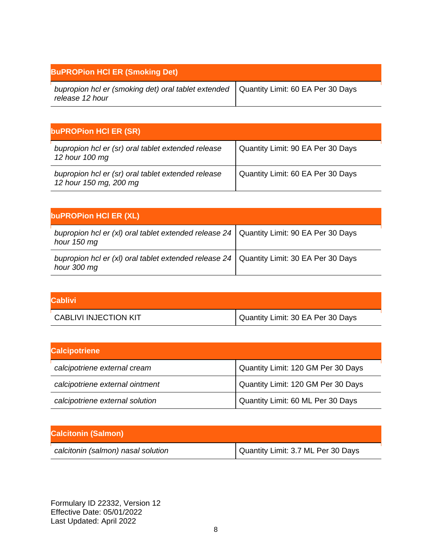| <b>BuPROPion HCI ER (Smoking Det)</b>                                                                      |  |
|------------------------------------------------------------------------------------------------------------|--|
| bupropion hcl er (smoking det) oral tablet extended   Quantity Limit: 60 EA Per 30 Days<br>release 12 hour |  |

| buPROPion HCI ER (SR)                                                        |                                   |
|------------------------------------------------------------------------------|-----------------------------------|
| bupropion hcl er (sr) oral tablet extended release<br>12 hour 100 mg         | Quantity Limit: 90 EA Per 30 Days |
| bupropion hcl er (sr) oral tablet extended release<br>12 hour 150 mg, 200 mg | Quantity Limit: 60 EA Per 30 Days |

| buPROPion HCI ER (XL)                                                                                    |  |
|----------------------------------------------------------------------------------------------------------|--|
| bupropion hcl er (xl) oral tablet extended release $24$ Quantity Limit: 90 EA Per 30 Days<br>hour 150 mg |  |
| bupropion hcl er (xl) oral tablet extended release $24$ Quantity Limit: 30 EA Per 30 Days<br>hour 300 mg |  |

| <b>Cablivi</b>               |                                   |
|------------------------------|-----------------------------------|
| <b>CABLIVI INJECTION KIT</b> | Quantity Limit: 30 EA Per 30 Days |

| <b>Calcipotriene</b>            |                                    |
|---------------------------------|------------------------------------|
| calcipotriene external cream    | Quantity Limit: 120 GM Per 30 Days |
| calcipotriene external ointment | Quantity Limit: 120 GM Per 30 Days |
| calcipotriene external solution | Quantity Limit: 60 ML Per 30 Days  |

| <b>Calcitonin (Salmon)</b>         |                                    |
|------------------------------------|------------------------------------|
| calcitonin (salmon) nasal solution | Quantity Limit: 3.7 ML Per 30 Days |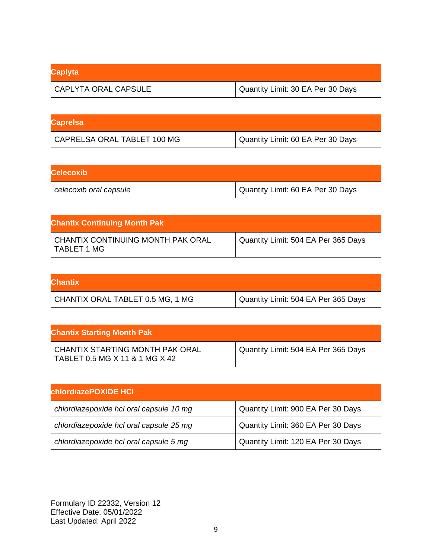| <b>Caplyta</b>       |                                   |
|----------------------|-----------------------------------|
| CAPLYTA ORAL CAPSULE | Quantity Limit: 30 EA Per 30 Days |

| <b>Caprelsa</b>             |                                   |
|-----------------------------|-----------------------------------|
| CAPRELSA ORAL TABLET 100 MG | Quantity Limit: 60 EA Per 30 Days |

| <b>Celecoxib</b>       |                                   |
|------------------------|-----------------------------------|
| celecoxib oral capsule | Quantity Limit: 60 EA Per 30 Days |

| <b>Chantix Continuing Month Pak</b>              |                                     |
|--------------------------------------------------|-------------------------------------|
| CHANTIX CONTINUING MONTH PAK ORAL<br>TABLET 1 MG | Quantity Limit: 504 EA Per 365 Days |

| <b>Chantix</b>                   |                                       |
|----------------------------------|---------------------------------------|
| CHANTIX ORAL TABLET 0.5 MG, 1 MG | I Quantity Limit: 504 EA Per 365 Days |

| <b>Chantix Starting Month Pak</b>                                 |                                     |
|-------------------------------------------------------------------|-------------------------------------|
| CHANTIX STARTING MONTH PAK ORAL<br>TABLET 0.5 MG X 11 & 1 MG X 42 | Quantity Limit: 504 EA Per 365 Days |

| <b>chlordiazePOXIDE HCI</b>             |                                    |
|-----------------------------------------|------------------------------------|
| chlordiazepoxide hcl oral capsule 10 mg | Quantity Limit: 900 EA Per 30 Days |
| chlordiazepoxide hcl oral capsule 25 mg | Quantity Limit: 360 EA Per 30 Days |
| chlordiazepoxide hcl oral capsule 5 mg  | Quantity Limit: 120 EA Per 30 Days |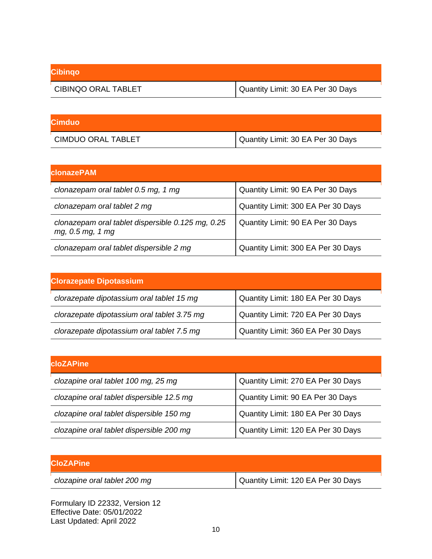| <b>Cibingo</b>      |                                   |
|---------------------|-----------------------------------|
| CIBINQO ORAL TABLET | Quantity Limit: 30 EA Per 30 Days |

| <b>Cimduo</b>      |                                   |
|--------------------|-----------------------------------|
| CIMDUO ORAL TABLET | Quantity Limit: 30 EA Per 30 Days |

| <b>clonazePAM</b>                                                     |                                    |
|-----------------------------------------------------------------------|------------------------------------|
| clonazepam oral tablet 0.5 mg, 1 mg                                   | Quantity Limit: 90 EA Per 30 Days  |
| clonazepam oral tablet 2 mg                                           | Quantity Limit: 300 EA Per 30 Days |
| clonazepam oral tablet dispersible 0.125 mg, 0.25<br>mg, 0.5 mg, 1 mg | Quantity Limit: 90 EA Per 30 Days  |
| clonazepam oral tablet dispersible 2 mg                               | Quantity Limit: 300 EA Per 30 Days |

| <b>Clorazepate Dipotassium</b>              |                                    |
|---------------------------------------------|------------------------------------|
| clorazepate dipotassium oral tablet 15 mg   | Quantity Limit: 180 EA Per 30 Days |
| clorazepate dipotassium oral tablet 3.75 mg | Quantity Limit: 720 EA Per 30 Days |
| clorazepate dipotassium oral tablet 7.5 mg  | Quantity Limit: 360 EA Per 30 Days |

| <b>cloZAPine</b>                          |                                    |
|-------------------------------------------|------------------------------------|
| clozapine oral tablet 100 mg, 25 mg       | Quantity Limit: 270 EA Per 30 Days |
| clozapine oral tablet dispersible 12.5 mg | Quantity Limit: 90 EA Per 30 Days  |
| clozapine oral tablet dispersible 150 mg  | Quantity Limit: 180 EA Per 30 Days |
| clozapine oral tablet dispersible 200 mg  | Quantity Limit: 120 EA Per 30 Days |

| <b>ICIoZAPine</b>            |                                    |
|------------------------------|------------------------------------|
| clozapine oral tablet 200 mg | Quantity Limit: 120 EA Per 30 Days |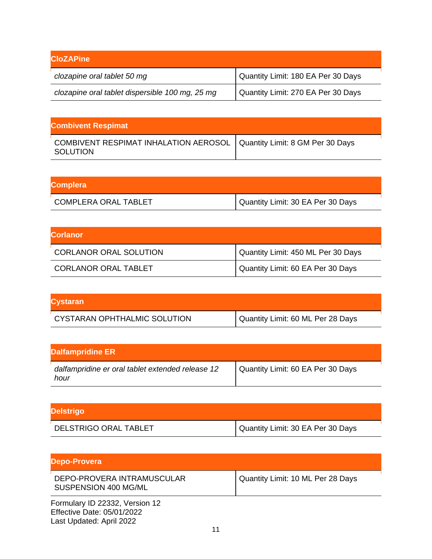| <b>CloZAPine</b>                                |                                    |
|-------------------------------------------------|------------------------------------|
| clozapine oral tablet 50 mg                     | Quantity Limit: 180 EA Per 30 Days |
| clozapine oral tablet dispersible 100 mg, 25 mg | Quantity Limit: 270 EA Per 30 Days |

| <b>Combivent Respimat</b>                                                            |  |
|--------------------------------------------------------------------------------------|--|
| COMBIVENT RESPIMAT INHALATION AEROSOL   Quantity Limit: 8 GM Per 30 Days<br>SOLUTION |  |

| <b>Complera</b>             |                                   |
|-----------------------------|-----------------------------------|
| <b>COMPLERA ORAL TABLET</b> | Quantity Limit: 30 EA Per 30 Days |

| <b>Corlanor</b>               |                                    |
|-------------------------------|------------------------------------|
| <b>CORLANOR ORAL SOLUTION</b> | Quantity Limit: 450 ML Per 30 Days |
| <b>CORLANOR ORAL TABLET</b>   | Quantity Limit: 60 EA Per 30 Days  |

| <b>Cystaran</b>              |                                   |
|------------------------------|-----------------------------------|
| CYSTARAN OPHTHALMIC SOLUTION | Quantity Limit: 60 ML Per 28 Days |

| <b>Dalfampridine ER</b>                                  |                                   |
|----------------------------------------------------------|-----------------------------------|
| dalfampridine er oral tablet extended release 12<br>hour | Quantity Limit: 60 EA Per 30 Days |

| <b>Delstrigo</b>             |                                   |
|------------------------------|-----------------------------------|
| <b>DELSTRIGO ORAL TABLET</b> | Quantity Limit: 30 EA Per 30 Days |

| <b>Depo-Provera</b>                                                                      |                                   |
|------------------------------------------------------------------------------------------|-----------------------------------|
| DEPO-PROVERA INTRAMUSCULAR<br>SUSPENSION 400 MG/ML                                       | Quantity Limit: 10 ML Per 28 Days |
| Formulary ID 22332, Version 12<br>Effective Date: 05/01/2022<br>Last Updated: April 2022 |                                   |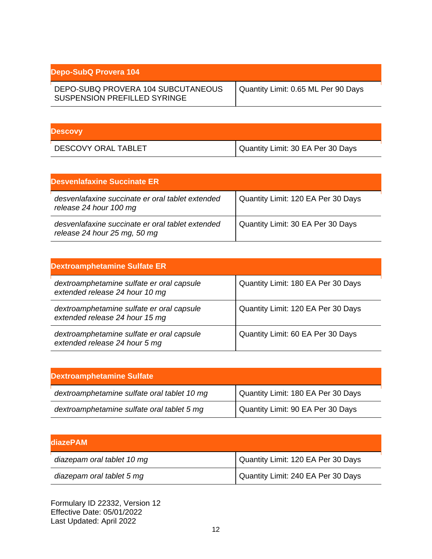| Depo-SubQ Provera 104                                                     |                                     |
|---------------------------------------------------------------------------|-------------------------------------|
| DEPO-SUBQ PROVERA 104 SUBCUTANEOUS<br><b>SUSPENSION PREFILLED SYRINGE</b> | Quantity Limit: 0.65 ML Per 90 Days |

| <b>Descovy</b>             |                                   |
|----------------------------|-----------------------------------|
| <b>DESCOVY ORAL TABLET</b> | Quantity Limit: 30 EA Per 30 Days |

| Desvenlafaxine Succinate ER                                                      |                                    |
|----------------------------------------------------------------------------------|------------------------------------|
| desvenlafaxine succinate er oral tablet extended<br>release 24 hour 100 mg       | Quantity Limit: 120 EA Per 30 Days |
| desvenlafaxine succinate er oral tablet extended<br>release 24 hour 25 mg, 50 mg | Quantity Limit: 30 EA Per 30 Days  |

| <b>Dextroamphetamine Sulfate ER</b>                                         |                                    |
|-----------------------------------------------------------------------------|------------------------------------|
| dextroamphetamine sulfate er oral capsule<br>extended release 24 hour 10 mg | Quantity Limit: 180 EA Per 30 Days |
| dextroamphetamine sulfate er oral capsule<br>extended release 24 hour 15 mg | Quantity Limit: 120 EA Per 30 Days |
| dextroamphetamine sulfate er oral capsule<br>extended release 24 hour 5 mg  | Quantity Limit: 60 EA Per 30 Days  |

| Dextroamphetamine Sulfate                   |                                    |
|---------------------------------------------|------------------------------------|
| dextroamphetamine sulfate oral tablet 10 mg | Quantity Limit: 180 EA Per 30 Days |
| dextroamphetamine sulfate oral tablet 5 mg  | Quantity Limit: 90 EA Per 30 Days  |

| ldiazePAM                  |                                    |
|----------------------------|------------------------------------|
| diazepam oral tablet 10 mg | Quantity Limit: 120 EA Per 30 Days |
| diazepam oral tablet 5 mg  | Quantity Limit: 240 EA Per 30 Days |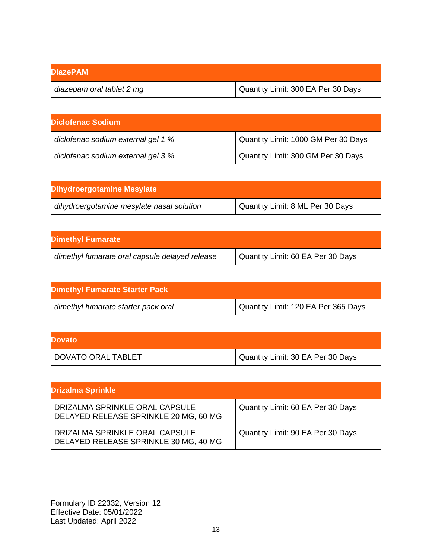| <b>DiazePAM</b>           |                                    |
|---------------------------|------------------------------------|
| diazepam oral tablet 2 mg | Quantity Limit: 300 EA Per 30 Days |

| <b>Diclofenac Sodium</b>           |                                     |
|------------------------------------|-------------------------------------|
| diclofenac sodium external gel 1 % | Quantity Limit: 1000 GM Per 30 Days |
| diclofenac sodium external gel 3 % | Quantity Limit: 300 GM Per 30 Days  |

| Dihydroergotamine Mesylate                |                                  |
|-------------------------------------------|----------------------------------|
| dihydroergotamine mesylate nasal solution | Quantity Limit: 8 ML Per 30 Days |

| <b>Dimethyl Fumarate</b>                       |                                   |
|------------------------------------------------|-----------------------------------|
| dimethyl fumarate oral capsule delayed release | Quantity Limit: 60 EA Per 30 Days |

| <b>Dimethyl Fumarate Starter Pack</b> |                                     |
|---------------------------------------|-------------------------------------|
| dimethyl fumarate starter pack oral   | Quantity Limit: 120 EA Per 365 Days |

| <b>Dovato</b>      |                                   |
|--------------------|-----------------------------------|
| DOVATO ORAL TABLET | Quantity Limit: 30 EA Per 30 Days |

| <b>Drizalma Sprinkle</b>                                                |                                   |
|-------------------------------------------------------------------------|-----------------------------------|
| DRIZALMA SPRINKLE ORAL CAPSULE<br>DELAYED RELEASE SPRINKLE 20 MG, 60 MG | Quantity Limit: 60 EA Per 30 Days |
| DRIZALMA SPRINKLE ORAL CAPSULE<br>DELAYED RELEASE SPRINKLE 30 MG, 40 MG | Quantity Limit: 90 EA Per 30 Days |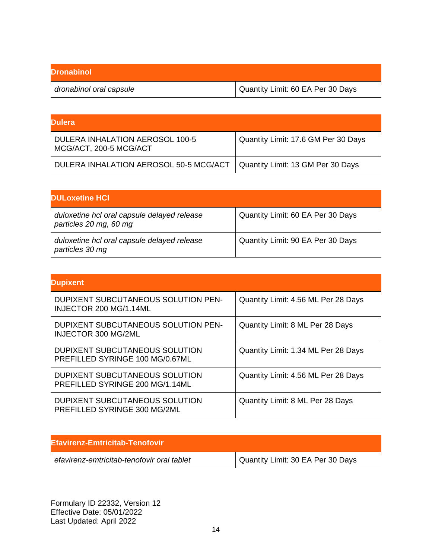| <b>Dronabinol</b>       |                                   |
|-------------------------|-----------------------------------|
| dronabinol oral capsule | Quantity Limit: 60 EA Per 30 Days |

| <b>Dulera</b>                                             |                                     |
|-----------------------------------------------------------|-------------------------------------|
| DULERA INHALATION AEROSOL 100-5<br>MCG/ACT, 200-5 MCG/ACT | Quantity Limit: 17.6 GM Per 30 Days |
| DULERA INHALATION AEROSOL 50-5 MCG/ACT                    | Quantity Limit: 13 GM Per 30 Days   |

| <b>DULoxetine HCI</b>                                                 |                                   |
|-----------------------------------------------------------------------|-----------------------------------|
| duloxetine hcl oral capsule delayed release<br>particles 20 mg, 60 mg | Quantity Limit: 60 EA Per 30 Days |
| duloxetine hcl oral capsule delayed release<br>particles 30 mg        | Quantity Limit: 90 EA Per 30 Days |

| <b>Dupixent</b>                                                   |                                     |
|-------------------------------------------------------------------|-------------------------------------|
| DUPIXENT SUBCUTANEOUS SOLUTION PEN-<br>INJECTOR 200 MG/1.14ML     | Quantity Limit: 4.56 ML Per 28 Days |
| DUPIXENT SUBCUTANEOUS SOLUTION PEN-<br>INJECTOR 300 MG/2ML        | Quantity Limit: 8 ML Per 28 Days    |
| DUPIXENT SUBCUTANEOUS SOLUTION<br>PREFILLED SYRINGE 100 MG/0.67ML | Quantity Limit: 1.34 ML Per 28 Days |
| DUPIXENT SUBCUTANEOUS SOLUTION<br>PREFILLED SYRINGE 200 MG/1.14ML | Quantity Limit: 4.56 ML Per 28 Days |
| DUPIXENT SUBCUTANEOUS SOLUTION<br>PREFILLED SYRINGE 300 MG/2ML    | Quantity Limit: 8 ML Per 28 Days    |

| <b>IEfavirenz-Emtricitab-Tenofovir</b>     |                                   |
|--------------------------------------------|-----------------------------------|
| efavirenz-emtricitab-tenofovir oral tablet | Quantity Limit: 30 EA Per 30 Days |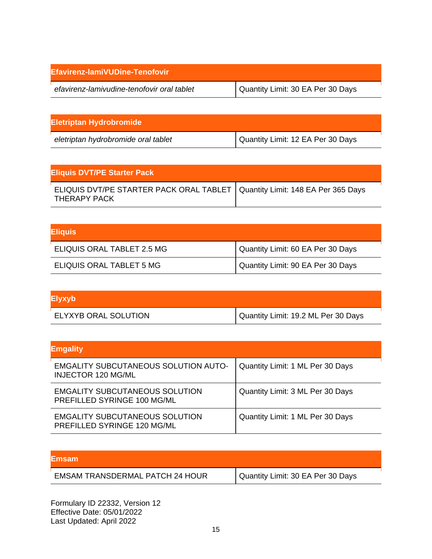| Efavirenz-lamiVUDine-Tenofovir             |                                   |
|--------------------------------------------|-----------------------------------|
| efavirenz-lamivudine-tenofovir oral tablet | Quantity Limit: 30 EA Per 30 Days |

| <b>Eletriptan Hydrobromide</b>      |                                   |
|-------------------------------------|-----------------------------------|
| eletriptan hydrobromide oral tablet | Quantity Limit: 12 EA Per 30 Days |

| <b>Eliquis DVT/PE Starter Pack</b>                                                            |  |
|-----------------------------------------------------------------------------------------------|--|
| ELIQUIS DVT/PE STARTER PACK ORAL TABLET   Quantity Limit: 148 EA Per 365 Days<br>THERAPY PACK |  |

| <b>Eliguis</b>             |                                   |
|----------------------------|-----------------------------------|
| ELIQUIS ORAL TABLET 2.5 MG | Quantity Limit: 60 EA Per 30 Days |
| ELIQUIS ORAL TABLET 5 MG   | Quantity Limit: 90 EA Per 30 Days |

| <b>Elyxyb</b>        |                                     |
|----------------------|-------------------------------------|
| ELYXYB ORAL SOLUTION | Quantity Limit: 19.2 ML Per 30 Days |

| <b>Emgality</b>                                                          |                                  |
|--------------------------------------------------------------------------|----------------------------------|
| <b>EMGALITY SUBCUTANEOUS SOLUTION AUTO-</b><br><b>INJECTOR 120 MG/ML</b> | Quantity Limit: 1 ML Per 30 Days |
| <b>EMGALITY SUBCUTANEOUS SOLUTION</b><br>PREFILLED SYRINGE 100 MG/ML     | Quantity Limit: 3 ML Per 30 Days |
| <b>EMGALITY SUBCUTANEOUS SOLUTION</b><br>PREFILLED SYRINGE 120 MG/ML     | Quantity Limit: 1 ML Per 30 Days |

| <b>IEmsam</b>                          |                                   |
|----------------------------------------|-----------------------------------|
| <b>EMSAM TRANSDERMAL PATCH 24 HOUR</b> | Quantity Limit: 30 EA Per 30 Days |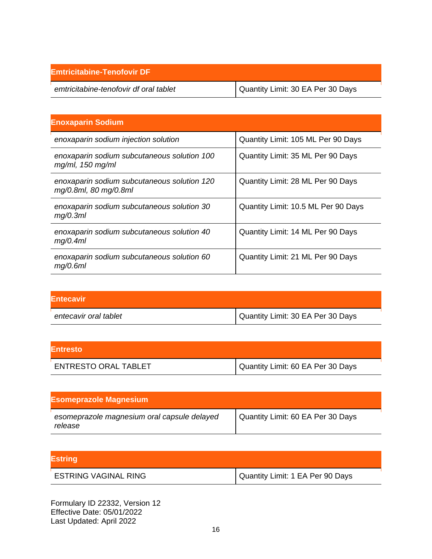| <b>Emtricitabine-Tenofovir DF</b>      |                                   |
|----------------------------------------|-----------------------------------|
| emtricitabine-tenofovir df oral tablet | Quantity Limit: 30 EA Per 30 Days |

| <b>Enoxaparin Sodium</b>                                             |                                     |
|----------------------------------------------------------------------|-------------------------------------|
| enoxaparin sodium injection solution                                 | Quantity Limit: 105 ML Per 90 Days  |
| enoxaparin sodium subcutaneous solution 100<br>$mg/ml$ , 150 mg/ml   | Quantity Limit: 35 ML Per 90 Days   |
| enoxaparin sodium subcutaneous solution 120<br>mg/0.8ml, 80 mg/0.8ml | Quantity Limit: 28 ML Per 90 Days   |
| enoxaparin sodium subcutaneous solution 30<br>mg/0.3ml               | Quantity Limit: 10.5 ML Per 90 Days |
| enoxaparin sodium subcutaneous solution 40<br>mq/0.4ml               | Quantity Limit: 14 ML Per 90 Days   |
| enoxaparin sodium subcutaneous solution 60<br>mg/0.6ml               | Quantity Limit: 21 ML Per 90 Days   |

| <b>Entecavir</b>      |                                   |
|-----------------------|-----------------------------------|
| entecavir oral tablet | Quantity Limit: 30 EA Per 30 Days |

| <b>Entresto</b>             |                                   |
|-----------------------------|-----------------------------------|
| <b>ENTRESTO ORAL TABLET</b> | Quantity Limit: 60 EA Per 30 Days |

| <b>Esomeprazole Magnesium</b>                          |                                   |
|--------------------------------------------------------|-----------------------------------|
| esomeprazole magnesium oral capsule delayed<br>release | Quantity Limit: 60 EA Per 30 Days |

| <b>Estring</b>              |                                  |
|-----------------------------|----------------------------------|
| <b>ESTRING VAGINAL RING</b> | Quantity Limit: 1 EA Per 90 Days |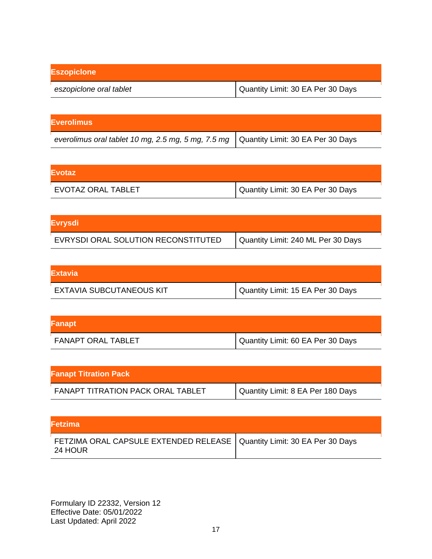| <b>Eszopicione</b>      |                                   |
|-------------------------|-----------------------------------|
| eszopiclone oral tablet | Quantity Limit: 30 EA Per 30 Days |

| <b>Everolimus</b>                                                                      |  |
|----------------------------------------------------------------------------------------|--|
| everolimus oral tablet 10 mg, 2.5 mg, 5 mg, 7.5 mg   Quantity Limit: 30 EA Per 30 Days |  |

| <b>Evotaz</b>             |                                   |
|---------------------------|-----------------------------------|
| <b>EVOTAZ ORAL TABLET</b> | Quantity Limit: 30 EA Per 30 Days |

| <b>Evrysdi</b>                      |                                    |
|-------------------------------------|------------------------------------|
| EVRYSDI ORAL SOLUTION RECONSTITUTED | Quantity Limit: 240 ML Per 30 Days |

| <b>Extavia</b>                  |                                   |
|---------------------------------|-----------------------------------|
| <b>EXTAVIA SUBCUTANEOUS KIT</b> | Quantity Limit: 15 EA Per 30 Days |

| Fanapt                    |                                   |
|---------------------------|-----------------------------------|
| <b>FANAPT ORAL TABLET</b> | Quantity Limit: 60 EA Per 30 Days |

| <b>Fanapt Titration Pack</b>             |                                   |
|------------------------------------------|-----------------------------------|
| <b>FANAPT TITRATION PACK ORAL TABLET</b> | Quantity Limit: 8 EA Per 180 Days |

| <b>IFetzima</b>                                                                      |  |
|--------------------------------------------------------------------------------------|--|
| FETZIMA ORAL CAPSULE EXTENDED RELEASE   Quantity Limit: 30 EA Per 30 Days<br>24 HOUR |  |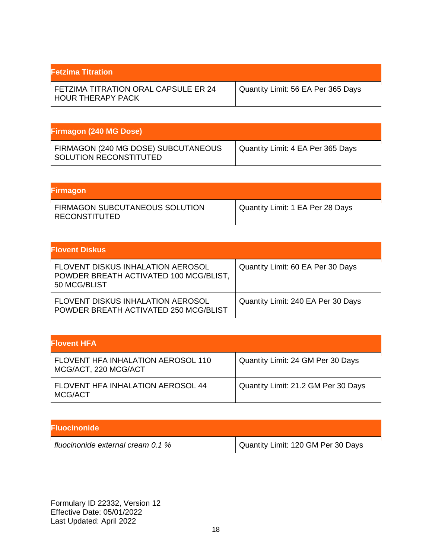| <b>Fetzima Titration</b>                                         |                                    |
|------------------------------------------------------------------|------------------------------------|
| FETZIMA TITRATION ORAL CAPSULE ER 24<br><b>HOUR THERAPY PACK</b> | Quantity Limit: 56 EA Per 365 Days |

| <b>Firmagon (240 MG Dose)</b>                                 |                                   |
|---------------------------------------------------------------|-----------------------------------|
| FIRMAGON (240 MG DOSE) SUBCUTANEOUS<br>SOLUTION RECONSTITUTED | Quantity Limit: 4 EA Per 365 Days |

| <b>Firmagon</b>                                 |                                  |
|-------------------------------------------------|----------------------------------|
| FIRMAGON SUBCUTANEOUS SOLUTION<br>RECONSTITUTED | Quantity Limit: 1 EA Per 28 Days |

| <b>Flovent Diskus</b>                                                                       |                                    |
|---------------------------------------------------------------------------------------------|------------------------------------|
| FLOVENT DISKUS INHALATION AEROSOL<br>POWDER BREATH ACTIVATED 100 MCG/BLIST,<br>50 MCG/BLIST | Quantity Limit: 60 EA Per 30 Days  |
| <b>FLOVENT DISKUS INHALATION AEROSOL</b><br>POWDER BREATH ACTIVATED 250 MCG/BLIST           | Quantity Limit: 240 EA Per 30 Days |

| lFlovent HFA                                                      |                                     |
|-------------------------------------------------------------------|-------------------------------------|
| <b>FLOVENT HFA INHALATION AEROSOL 110</b><br>MCG/ACT, 220 MCG/ACT | Quantity Limit: 24 GM Per 30 Days   |
| <b>FLOVENT HFA INHALATION AEROSOL 44</b><br>MCG/ACT               | Quantity Limit: 21.2 GM Per 30 Days |

| <b>Fluocinonide</b> |  |  |  |  |
|---------------------|--|--|--|--|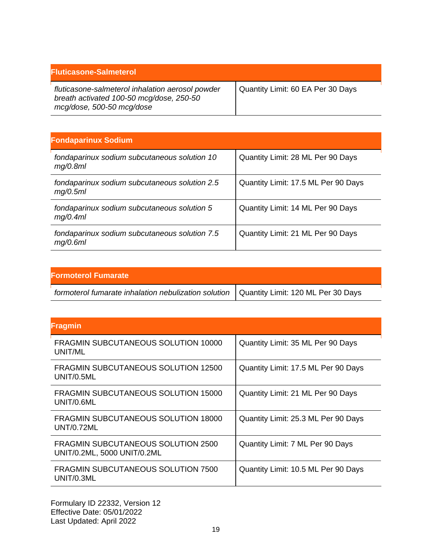| <b>Fluticasone-Salmeterol</b>                                                                                             |                                   |
|---------------------------------------------------------------------------------------------------------------------------|-----------------------------------|
| fluticasone-salmeterol inhalation aerosol powder<br>breath activated 100-50 mcg/dose, 250-50<br>mcg/dose, 500-50 mcg/dose | Quantity Limit: 60 EA Per 30 Days |

| <b>Fondaparinux Sodium</b>                                |                                     |
|-----------------------------------------------------------|-------------------------------------|
| fondaparinux sodium subcutaneous solution 10<br>mq/0.8ml  | Quantity Limit: 28 ML Per 90 Days   |
| fondaparinux sodium subcutaneous solution 2.5<br>mg/0.5ml | Quantity Limit: 17.5 ML Per 90 Days |
| fondaparinux sodium subcutaneous solution 5<br>mg/0.4ml   | Quantity Limit: 14 ML Per 90 Days   |
| fondaparinux sodium subcutaneous solution 7.5<br>mq/0.6ml | Quantity Limit: 21 ML Per 90 Days   |

| <b>Formoterol Fumarate</b>                                                                |  |
|-------------------------------------------------------------------------------------------|--|
| formoterol fumarate inhalation nebulization solution   Quantity Limit: 120 ML Per 30 Days |  |

| <b>Fragmin</b>                                                           |                                     |
|--------------------------------------------------------------------------|-------------------------------------|
| <b>FRAGMIN SUBCUTANEOUS SOLUTION 10000</b><br>UNIT/ML                    | Quantity Limit: 35 ML Per 90 Days   |
| FRAGMIN SUBCUTANEOUS SOLUTION 12500<br>UNIT/0.5ML                        | Quantity Limit: 17.5 ML Per 90 Days |
| <b>FRAGMIN SUBCUTANEOUS SOLUTION 15000</b><br>UNIT/0.6ML                 | Quantity Limit: 21 ML Per 90 Days   |
| <b>FRAGMIN SUBCUTANEOUS SOLUTION 18000</b><br><b>UNT/0.72ML</b>          | Quantity Limit: 25.3 ML Per 90 Days |
| <b>FRAGMIN SUBCUTANEOUS SOLUTION 2500</b><br>UNIT/0.2ML, 5000 UNIT/0.2ML | Quantity Limit: 7 ML Per 90 Days    |
| FRAGMIN SUBCUTANEOUS SOLUTION 7500<br>UNIT/0.3ML                         | Quantity Limit: 10.5 ML Per 90 Days |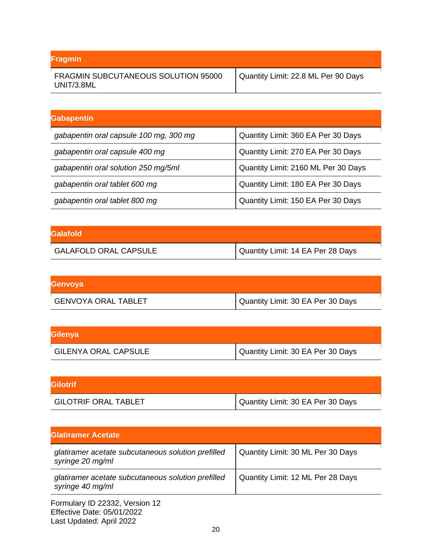| <b>Fragmin</b>                                    |                                     |
|---------------------------------------------------|-------------------------------------|
| FRAGMIN SUBCUTANEOUS SOLUTION 95000<br>UNIT/3.8ML | Quantity Limit: 22.8 ML Per 90 Days |
|                                                   |                                     |
| <b>Gabapentin</b>                                 |                                     |

| gabapentin oral capsule 100 mg, 300 mg | Quantity Limit: 360 EA Per 30 Days  |
|----------------------------------------|-------------------------------------|
| gabapentin oral capsule 400 mg         | Quantity Limit: 270 EA Per 30 Days  |
| gabapentin oral solution 250 mg/5ml    | Quantity Limit: 2160 ML Per 30 Days |
| gabapentin oral tablet 600 mg          | Quantity Limit: 180 EA Per 30 Days  |
| gabapentin oral tablet 800 mg          | Quantity Limit: 150 EA Per 30 Days  |

| <b>Galafold</b>              |                                   |
|------------------------------|-----------------------------------|
| <b>GALAFOLD ORAL CAPSULE</b> | Quantity Limit: 14 EA Per 28 Days |

| Genvoya                    |                                   |
|----------------------------|-----------------------------------|
| <b>GENVOYA ORAL TABLET</b> | Quantity Limit: 30 EA Per 30 Days |

| Gilenya                     |                                   |
|-----------------------------|-----------------------------------|
| <b>GILENYA ORAL CAPSULE</b> | Quantity Limit: 30 EA Per 30 Days |

| <b>Gilotrif</b>             |                                   |
|-----------------------------|-----------------------------------|
| <b>GILOTRIF ORAL TABLET</b> | Quantity Limit: 30 EA Per 30 Days |

| <b>Glatiramer Acetate</b>                                              |                                   |
|------------------------------------------------------------------------|-----------------------------------|
| glatiramer acetate subcutaneous solution prefilled<br>syringe 20 mg/ml | Quantity Limit: 30 ML Per 30 Days |
| glatiramer acetate subcutaneous solution prefilled<br>syringe 40 mg/ml | Quantity Limit: 12 ML Per 28 Days |
| Formulary ID 22332, Version 12                                         |                                   |

Effective Date: 05/01/2022 Last Updated: April 2022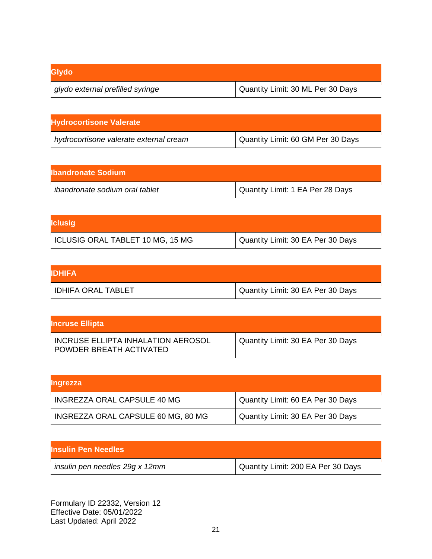| <b>Glydo</b>                     |                                   |
|----------------------------------|-----------------------------------|
| glydo external prefilled syringe | Quantity Limit: 30 ML Per 30 Days |

| <b>Hydrocortisone Valerate</b>         |                                   |
|----------------------------------------|-----------------------------------|
| hydrocortisone valerate external cream | Quantity Limit: 60 GM Per 30 Days |

| Ilbandronate Sodium            |                                  |
|--------------------------------|----------------------------------|
| ibandronate sodium oral tablet | Quantity Limit: 1 EA Per 28 Days |

| <b>Iclusig</b>                   |                                   |
|----------------------------------|-----------------------------------|
| ICLUSIG ORAL TABLET 10 MG, 15 MG | Quantity Limit: 30 EA Per 30 Days |

| <b>IIDHIFA</b>            |                                   |
|---------------------------|-----------------------------------|
| <b>IDHIFA ORAL TABLET</b> | Quantity Limit: 30 EA Per 30 Days |

| <b>Incruse Ellipta</b>                                        |                                   |
|---------------------------------------------------------------|-----------------------------------|
| INCRUSE ELLIPTA INHALATION AEROSOL<br>POWDER BREATH ACTIVATED | Quantity Limit: 30 EA Per 30 Days |

| <b>Ingrezza</b>                    |                                   |
|------------------------------------|-----------------------------------|
| INGREZZA ORAL CAPSULE 40 MG        | Quantity Limit: 60 EA Per 30 Days |
| INGREZZA ORAL CAPSULE 60 MG, 80 MG | Quantity Limit: 30 EA Per 30 Days |

| <b>Insulin Pen Needles</b>     |                                    |
|--------------------------------|------------------------------------|
| insulin pen needles 29g x 12mm | Quantity Limit: 200 EA Per 30 Days |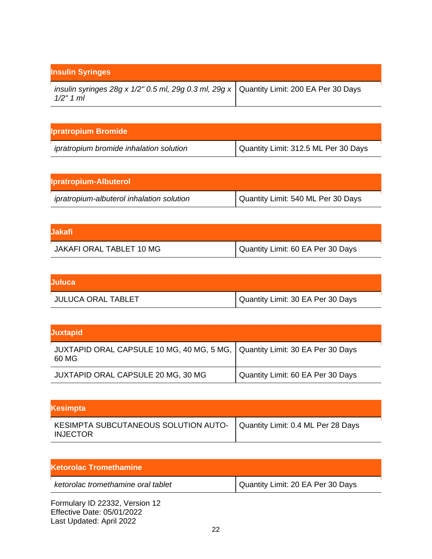| <b>Insulin Syringes</b>                                                                                    |  |
|------------------------------------------------------------------------------------------------------------|--|
| insulin syringes 28g x $1/2$ " 0.5 ml, 29g 0.3 ml, 29g x   Quantity Limit: 200 EA Per 30 Days<br>1/2" 1 ml |  |

| <b>Ipratropium Bromide</b>              |                                      |
|-----------------------------------------|--------------------------------------|
| ipratropium bromide inhalation solution | Quantity Limit: 312.5 ML Per 30 Days |

| <b>Ipratropium-Albuterol</b>              |                                    |
|-------------------------------------------|------------------------------------|
| ipratropium-albuterol inhalation solution | Quantity Limit: 540 ML Per 30 Days |

| lJakafi                  |                                   |
|--------------------------|-----------------------------------|
| JAKAFI ORAL TABLET 10 MG | Quantity Limit: 60 EA Per 30 Days |

| Juluca                    |                                   |
|---------------------------|-----------------------------------|
| <b>JULUCA ORAL TABLET</b> | Quantity Limit: 30 EA Per 30 Days |

| <b>Juxtapid</b>                                                                        |                                   |
|----------------------------------------------------------------------------------------|-----------------------------------|
| JUXTAPID ORAL CAPSULE 10 MG, 40 MG, 5 MG,   Quantity Limit: 30 EA Per 30 Days<br>60 MG |                                   |
| JUXTAPID ORAL CAPSULE 20 MG, 30 MG                                                     | Quantity Limit: 60 EA Per 30 Days |

| Kesimpta                                                                                     |  |
|----------------------------------------------------------------------------------------------|--|
| KESIMPTA SUBCUTANEOUS SOLUTION AUTO-   Quantity Limit: 0.4 ML Per 28 Days<br><b>INJECTOR</b> |  |

| <b>IKetorolac Tromethamine</b>     |                                   |
|------------------------------------|-----------------------------------|
| ketorolac tromethamine oral tablet | Quantity Limit: 20 EA Per 30 Days |
| Formulary ID 22332, Version 12     |                                   |

Effective Date: 05/01/2022 Last Updated: April 2022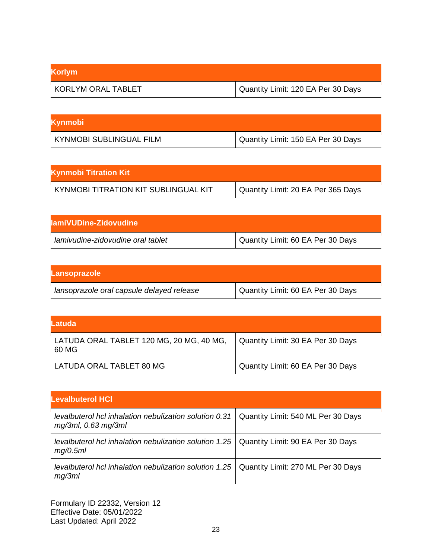| <b>Korlym</b>      |                                    |
|--------------------|------------------------------------|
| KORLYM ORAL TABLET | Quantity Limit: 120 EA Per 30 Days |

| <b>Kynmobi</b>                 |                                    |
|--------------------------------|------------------------------------|
| <b>KYNMOBI SUBLINGUAL FILM</b> | Quantity Limit: 150 EA Per 30 Days |

| <b>Kynmobi Titration Kit</b>         |                                    |
|--------------------------------------|------------------------------------|
| KYNMOBI TITRATION KIT SUBLINGUAL KIT | Quantity Limit: 20 EA Per 365 Days |

| llamiVUDine-Zidovudine            |                                   |
|-----------------------------------|-----------------------------------|
| lamivudine-zidovudine oral tablet | Quantity Limit: 60 EA Per 30 Days |

| Lansoprazole                              |                                   |
|-------------------------------------------|-----------------------------------|
| lansoprazole oral capsule delayed release | Quantity Limit: 60 EA Per 30 Days |

| Latuda                                            |                                   |
|---------------------------------------------------|-----------------------------------|
| LATUDA ORAL TABLET 120 MG, 20 MG, 40 MG,<br>60 MG | Quantity Limit: 30 EA Per 30 Days |
| LATUDA ORAL TABLET 80 MG                          | Quantity Limit: 60 EA Per 30 Days |

| <b>Levalbuterol HCI</b>                                                       |                                    |
|-------------------------------------------------------------------------------|------------------------------------|
| levalbuterol hcl inhalation nebulization solution 0.31<br>mg/3ml, 0.63 mg/3ml | Quantity Limit: 540 ML Per 30 Days |
| levalbuterol hcl inhalation nebulization solution 1.25<br>mq/0.5ml            | Quantity Limit: 90 EA Per 30 Days  |
| levalbuterol hcl inhalation nebulization solution 1.25<br>mg/3ml              | Quantity Limit: 270 ML Per 30 Days |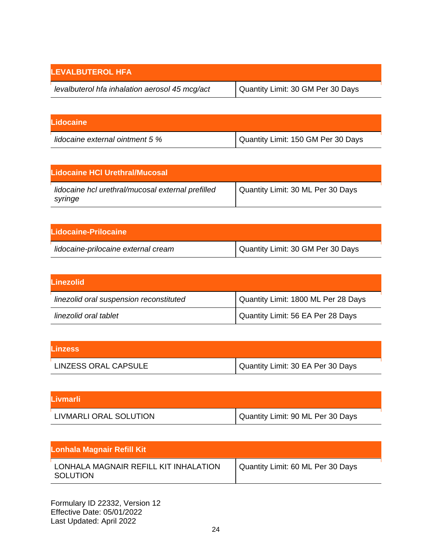| <b>ILEVALBUTEROL HFA</b> '                     |                                   |
|------------------------------------------------|-----------------------------------|
| levalbuterol hfa inhalation aerosol 45 mcg/act | Quantity Limit: 30 GM Per 30 Days |

| <b>Lidocaine</b>                |                                    |
|---------------------------------|------------------------------------|
| lidocaine external ointment 5 % | Quantity Limit: 150 GM Per 30 Days |

| <b>Lidocaine HCI Urethral/Mucosal</b>                        |                                   |
|--------------------------------------------------------------|-----------------------------------|
| lidocaine hcl urethral/mucosal external prefilled<br>syringe | Quantity Limit: 30 ML Per 30 Days |

| Lidocaine-Prilocaine                |                                   |
|-------------------------------------|-----------------------------------|
| lidocaine-prilocaine external cream | Quantity Limit: 30 GM Per 30 Days |

| Linezolid                               |                                     |
|-----------------------------------------|-------------------------------------|
| linezolid oral suspension reconstituted | Quantity Limit: 1800 ML Per 28 Days |
| linezolid oral tablet                   | Quantity Limit: 56 EA Per 28 Days   |

| <b>Linzess</b>              |                                   |
|-----------------------------|-----------------------------------|
| <b>LINZESS ORAL CAPSULE</b> | Quantity Limit: 30 EA Per 30 Days |

| lLivmarli l            |                                     |
|------------------------|-------------------------------------|
| LIVMARLI ORAL SOLUTION | I Quantity Limit: 90 ML Per 30 Days |

| Lonhala Magnair Refill Kit                               |                                   |
|----------------------------------------------------------|-----------------------------------|
| LONHALA MAGNAIR REFILL KIT INHALATION<br><b>SOLUTION</b> | Quantity Limit: 60 ML Per 30 Days |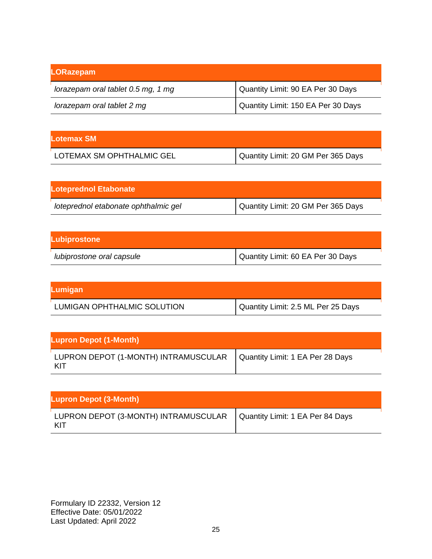| <b>LORazepam</b>                   |                                    |
|------------------------------------|------------------------------------|
| lorazepam oral tablet 0.5 mg, 1 mg | Quantity Limit: 90 EA Per 30 Days  |
| lorazepam oral tablet 2 mg         | Quantity Limit: 150 EA Per 30 Days |

| lLotemax SM l             |                                    |
|---------------------------|------------------------------------|
| LOTEMAX SM OPHTHALMIC GEL | Quantity Limit: 20 GM Per 365 Days |

| Loteprednol Etabonate                |                                    |
|--------------------------------------|------------------------------------|
| loteprednol etabonate ophthalmic gel | Quantity Limit: 20 GM Per 365 Days |

| <b>Lubiprostone</b>       |                                   |
|---------------------------|-----------------------------------|
| lubiprostone oral capsule | Quantity Limit: 60 EA Per 30 Days |

| Lumigan                     |                                    |
|-----------------------------|------------------------------------|
| LUMIGAN OPHTHALMIC SOLUTION | Quantity Limit: 2.5 ML Per 25 Days |

| <b>Lupron Depot (1-Month)</b>        |                                  |
|--------------------------------------|----------------------------------|
| LUPRON DEPOT (1-MONTH) INTRAMUSCULAR | Quantity Limit: 1 EA Per 28 Days |

| <b>Lupron Depot (3-Month)</b>                                                  |  |
|--------------------------------------------------------------------------------|--|
| LUPRON DEPOT (3-MONTH) INTRAMUSCULAR   Quantity Limit: 1 EA Per 84 Days<br>KIT |  |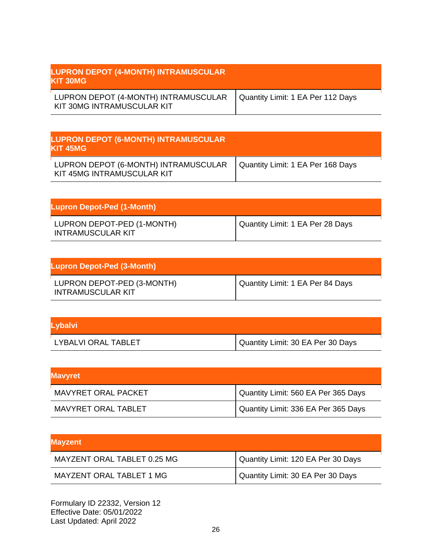| <b>LUPRON DEPOT (4-MONTH) INTRAMUSCULAR</b><br><b>IKIT 30MG</b>    |                                   |
|--------------------------------------------------------------------|-----------------------------------|
| LUPRON DEPOT (4-MONTH) INTRAMUSCULAR<br>KIT 30MG INTRAMUSCULAR KIT | Quantity Limit: 1 EA Per 112 Days |

| <b>LUPRON DEPOT (6-MONTH) INTRAMUSCULAR</b><br><b>IKIT 45MG</b>    |                                   |
|--------------------------------------------------------------------|-----------------------------------|
| LUPRON DEPOT (6-MONTH) INTRAMUSCULAR<br>KIT 45MG INTRAMUSCULAR KIT | Quantity Limit: 1 EA Per 168 Days |

| <b>Lupron Depot-Ped (1-Month)</b>                      |                                  |
|--------------------------------------------------------|----------------------------------|
| LUPRON DEPOT-PED (1-MONTH)<br><b>INTRAMUSCULAR KIT</b> | Quantity Limit: 1 EA Per 28 Days |

| <b>Lupron Depot-Ped (3-Month)</b>                      |                                  |
|--------------------------------------------------------|----------------------------------|
| LUPRON DEPOT-PED (3-MONTH)<br><b>INTRAMUSCULAR KIT</b> | Quantity Limit: 1 EA Per 84 Days |

| Lybalvi             |                                   |
|---------------------|-----------------------------------|
| LYBALVI ORAL TABLET | Quantity Limit: 30 EA Per 30 Days |

| <b>Mavyret</b>      |                                     |
|---------------------|-------------------------------------|
| MAVYRET ORAL PACKET | Quantity Limit: 560 EA Per 365 Days |
| MAVYRET ORAL TABLET | Quantity Limit: 336 EA Per 365 Days |

| <b>Mayzent</b>              |                                    |
|-----------------------------|------------------------------------|
| MAYZENT ORAL TABLET 0.25 MG | Quantity Limit: 120 EA Per 30 Days |
| MAYZENT ORAL TABLET 1 MG    | Quantity Limit: 30 EA Per 30 Days  |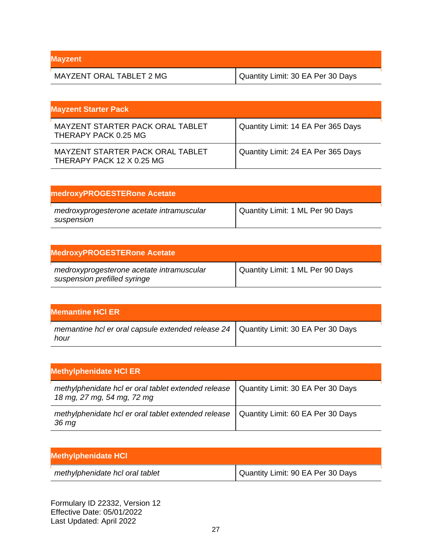| <b>Mayzent</b>           |                                   |
|--------------------------|-----------------------------------|
| MAYZENT ORAL TABLET 2 MG | Quantity Limit: 30 EA Per 30 Days |

| <b>Mayzent Starter Pack</b>                                   |                                    |
|---------------------------------------------------------------|------------------------------------|
| MAYZENT STARTER PACK ORAL TABLET<br>THERAPY PACK 0.25 MG      | Quantity Limit: 14 EA Per 365 Days |
| MAYZENT STARTER PACK ORAL TABLET<br>THERAPY PACK 12 X 0.25 MG | Quantity Limit: 24 EA Per 365 Days |

| medroxyPROGESTERone Acetate                             |                                  |
|---------------------------------------------------------|----------------------------------|
| medroxyprogesterone acetate intramuscular<br>suspension | Quantity Limit: 1 ML Per 90 Days |

| MedroxyPROGESTERone Acetate                                               |                                  |
|---------------------------------------------------------------------------|----------------------------------|
| medroxyprogesterone acetate intramuscular<br>suspension prefilled syringe | Quantity Limit: 1 ML Per 90 Days |

| <b>Memantine HCI ER</b>                                                                       |  |
|-----------------------------------------------------------------------------------------------|--|
| memantine hcl er oral capsule extended release 24   Quantity Limit: 30 EA Per 30 Days<br>hour |  |

| <b>Methylphenidate HCI ER</b>                                                     |                                   |
|-----------------------------------------------------------------------------------|-----------------------------------|
| methylphenidate hcl er oral tablet extended release<br>18 mg, 27 mg, 54 mg, 72 mg | Quantity Limit: 30 EA Per 30 Days |
| methylphenidate hcl er oral tablet extended release<br>36 mg                      | Quantity Limit: 60 EA Per 30 Days |

| <b>Methylphenidate HCI</b>      |                                   |
|---------------------------------|-----------------------------------|
| methylphenidate hcl oral tablet | Quantity Limit: 90 EA Per 30 Days |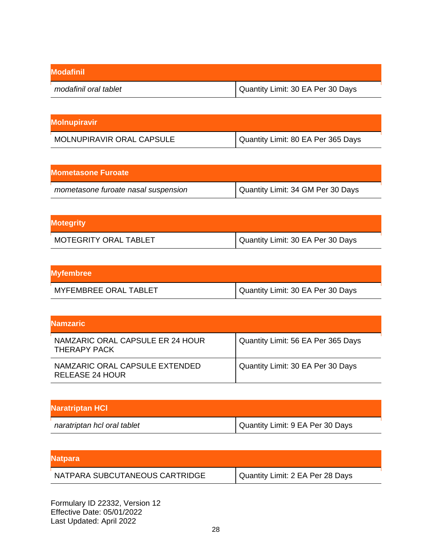| <b>Modafinil</b>      |                                   |
|-----------------------|-----------------------------------|
| modafinil oral tablet | Quantity Limit: 30 EA Per 30 Days |

# **Molnupiravir**

| <b>IMometasone Furoate</b>          |                                   |
|-------------------------------------|-----------------------------------|
| mometasone furoate nasal suspension | Quantity Limit: 34 GM Per 30 Days |

| <b>Motegrity</b>             |                                   |
|------------------------------|-----------------------------------|
| <b>MOTEGRITY ORAL TABLET</b> | Quantity Limit: 30 EA Per 30 Days |

| <b>Myfembree</b>      |                                   |
|-----------------------|-----------------------------------|
| MYFEMBREE ORAL TABLET | Quantity Limit: 30 EA Per 30 Days |

| Namzaric                                          |                                    |
|---------------------------------------------------|------------------------------------|
| NAMZARIC ORAL CAPSULE ER 24 HOUR<br>THERAPY PACK  | Quantity Limit: 56 EA Per 365 Days |
| NAMZARIC ORAL CAPSULE EXTENDED<br>RELEASE 24 HOUR | Quantity Limit: 30 EA Per 30 Days  |

| <b>Naratriptan HCI</b>      |                                  |
|-----------------------------|----------------------------------|
| naratriptan hcl oral tablet | Quantity Limit: 9 EA Per 30 Days |

| <b>INatpara</b>                |                                  |
|--------------------------------|----------------------------------|
| NATPARA SUBCUTANEOUS CARTRIDGE | Quantity Limit: 2 EA Per 28 Days |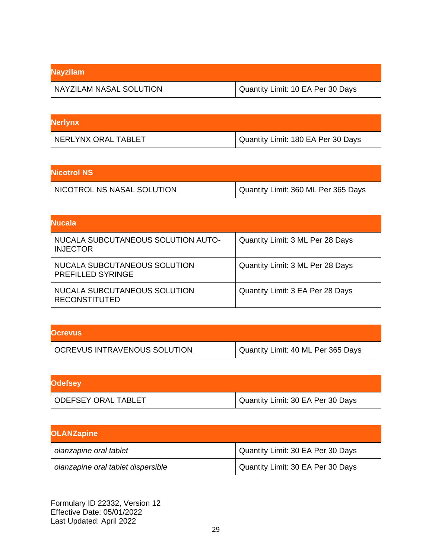| <b>Nayzilam</b>         |                                   |
|-------------------------|-----------------------------------|
| NAYZILAM NASAL SOLUTION | Quantity Limit: 10 EA Per 30 Days |

| <b>Nerlynx</b>      |                                    |
|---------------------|------------------------------------|
| NERLYNX ORAL TABLET | Quantity Limit: 180 EA Per 30 Days |

| <b>Nicotrol NS</b>         |                                     |
|----------------------------|-------------------------------------|
| NICOTROL NS NASAL SOLUTION | Quantity Limit: 360 ML Per 365 Days |

| Nucala                                                   |                                  |
|----------------------------------------------------------|----------------------------------|
| NUCALA SUBCUTANEOUS SOLUTION AUTO-<br><b>INJECTOR</b>    | Quantity Limit: 3 ML Per 28 Days |
| NUCALA SUBCUTANEOUS SOLUTION<br><b>PREFILLED SYRINGE</b> | Quantity Limit: 3 ML Per 28 Days |
| NUCALA SUBCUTANEOUS SOLUTION<br><b>RECONSTITUTED</b>     | Quantity Limit: 3 EA Per 28 Days |

| <b>Ocrevus</b>               |                                    |
|------------------------------|------------------------------------|
| OCREVUS INTRAVENOUS SOLUTION | Quantity Limit: 40 ML Per 365 Days |

| <b>Odefsey</b>             |                                   |
|----------------------------|-----------------------------------|
| <b>ODEFSEY ORAL TABLET</b> | Quantity Limit: 30 EA Per 30 Days |

| <b>OLANZapine</b>                  |                                   |
|------------------------------------|-----------------------------------|
| olanzapine oral tablet             | Quantity Limit: 30 EA Per 30 Days |
| olanzapine oral tablet dispersible | Quantity Limit: 30 EA Per 30 Days |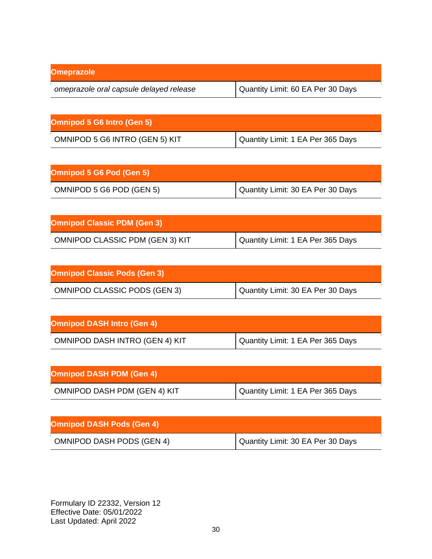| <b>Omeprazole</b>                       |                                     |
|-----------------------------------------|-------------------------------------|
| omeprazole oral capsule delayed release | I Quantity Limit: 60 EA Per 30 Days |

| <b>Omnipod 5 G6 Intro (Gen 5)</b> |                                   |
|-----------------------------------|-----------------------------------|
| OMNIPOD 5 G6 INTRO (GEN 5) KIT    | Quantity Limit: 1 EA Per 365 Days |

| <b>Omnipod 5 G6 Pod (Gen 5)</b> |                                   |
|---------------------------------|-----------------------------------|
| OMNIPOD 5 G6 POD (GEN 5)        | Quantity Limit: 30 EA Per 30 Days |

| <b>Omnipod Classic PDM (Gen 3)</b>     |                                   |
|----------------------------------------|-----------------------------------|
| <b>OMNIPOD CLASSIC PDM (GEN 3) KIT</b> | Quantity Limit: 1 EA Per 365 Days |

| <b>Omnipod Classic Pods (Gen 3)</b> |                                     |
|-------------------------------------|-------------------------------------|
| <b>OMNIPOD CLASSIC PODS (GEN 3)</b> | I Quantity Limit: 30 EA Per 30 Days |

| <b>Omnipod DASH Intro (Gen 4)</b>     |                                   |  |
|---------------------------------------|-----------------------------------|--|
| <b>OMNIPOD DASH INTRO (GEN 4) KIT</b> | Quantity Limit: 1 EA Per 365 Days |  |

| <b>Omnipod DASH PDM (Gen 4)</b> |                                   |
|---------------------------------|-----------------------------------|
| OMNIPOD DASH PDM (GEN 4) KIT    | Quantity Limit: 1 EA Per 365 Days |

| <b>Omnipod DASH Pods (Gen 4)</b> |                                   |
|----------------------------------|-----------------------------------|
| <b>OMNIPOD DASH PODS (GEN 4)</b> | Quantity Limit: 30 EA Per 30 Days |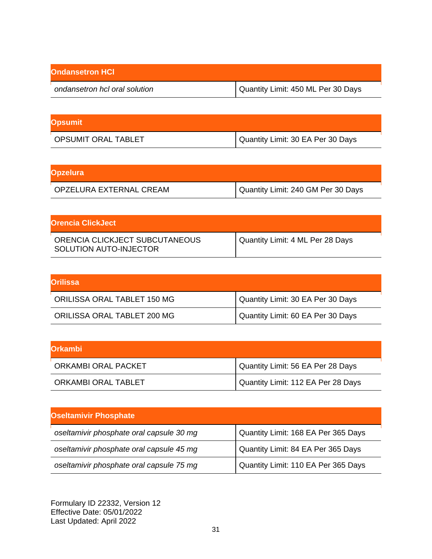| <b>Ondansetron HCI</b>        |                                    |
|-------------------------------|------------------------------------|
| ondansetron hcl oral solution | Quantity Limit: 450 ML Per 30 Days |

| <b>Opsumit</b>             |                                   |
|----------------------------|-----------------------------------|
| <b>OPSUMIT ORAL TABLET</b> | Quantity Limit: 30 EA Per 30 Days |

| <b>Opzelura</b>         |                                    |
|-------------------------|------------------------------------|
| OPZELURA EXTERNAL CREAM | Quantity Limit: 240 GM Per 30 Days |

| lOrencia ClickJect i                                     |                                  |
|----------------------------------------------------------|----------------------------------|
| ORENCIA CLICKJECT SUBCUTANEOUS<br>SOLUTION AUTO-INJECTOR | Quantity Limit: 4 ML Per 28 Days |

| <b>Orilissa</b>             |                                   |
|-----------------------------|-----------------------------------|
| ORILISSA ORAL TABLET 150 MG | Quantity Limit: 30 EA Per 30 Days |
| ORILISSA ORAL TABLET 200 MG | Quantity Limit: 60 EA Per 30 Days |

| lOrkambi l          |                                    |
|---------------------|------------------------------------|
| ORKAMBI ORAL PACKET | Quantity Limit: 56 EA Per 28 Days  |
| ORKAMBI ORAL TABLET | Quantity Limit: 112 EA Per 28 Days |

| <b>Oseltamivir Phosphate</b>             |                                     |  |
|------------------------------------------|-------------------------------------|--|
| oseltamivir phosphate oral capsule 30 mg | Quantity Limit: 168 EA Per 365 Days |  |
| oseltamivir phosphate oral capsule 45 mg | Quantity Limit: 84 EA Per 365 Days  |  |
| oseltamivir phosphate oral capsule 75 mg | Quantity Limit: 110 EA Per 365 Days |  |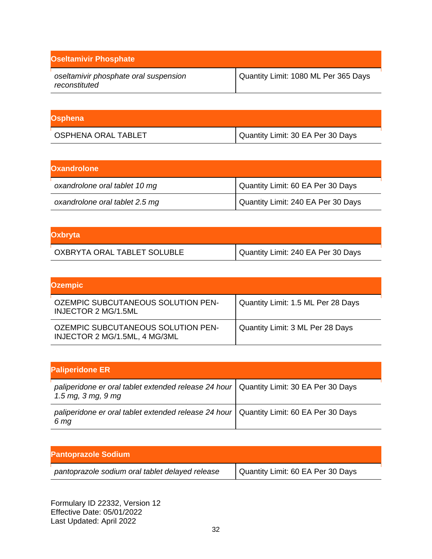| <b>Oseltamivir Phosphate</b>                           |                                      |
|--------------------------------------------------------|--------------------------------------|
| oseltamivir phosphate oral suspension<br>reconstituted | Quantity Limit: 1080 ML Per 365 Days |
|                                                        |                                      |

|  | a |  |
|--|---|--|
|  |   |  |

Quantity Limit: 30 EA Per 30 Days

| <b>Oxandrolone</b>             |                                    |
|--------------------------------|------------------------------------|
| oxandrolone oral tablet 10 mg  | Quantity Limit: 60 EA Per 30 Days  |
| oxandrolone oral tablet 2.5 mg | Quantity Limit: 240 EA Per 30 Days |

| <b>Oxbryta</b>              |                                    |
|-----------------------------|------------------------------------|
| OXBRYTA ORAL TABLET SOLUBLE | Quantity Limit: 240 EA Per 30 Days |

| <b>Ozempic</b>                                                             |                                    |
|----------------------------------------------------------------------------|------------------------------------|
| <b>OZEMPIC SUBCUTANEOUS SOLUTION PEN-</b><br><b>INJECTOR 2 MG/1.5ML</b>    | Quantity Limit: 1.5 ML Per 28 Days |
| <b>OZEMPIC SUBCUTANEOUS SOLUTION PEN-</b><br>INJECTOR 2 MG/1.5ML, 4 MG/3ML | Quantity Limit: 3 ML Per 28 Days   |

| <b>Paliperidone ER</b>                                                                                         |  |
|----------------------------------------------------------------------------------------------------------------|--|
| paliperidone er oral tablet extended release 24 hour   Quantity Limit: 30 EA Per 30 Days<br>1.5 mg, 3 mg, 9 mg |  |
| paliperidone er oral tablet extended release 24 hour   Quantity Limit: 60 EA Per 30 Days<br>6 mg               |  |

| <b>Pantoprazole Sodium</b>                      |                                   |
|-------------------------------------------------|-----------------------------------|
| pantoprazole sodium oral tablet delayed release | Quantity Limit: 60 EA Per 30 Days |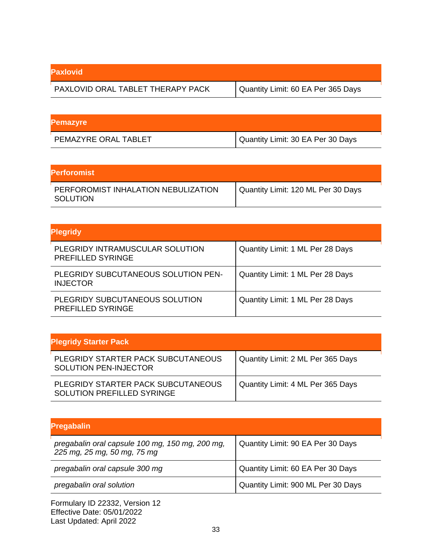| <b>Paxlovid</b>                   |                                    |
|-----------------------------------|------------------------------------|
| PAXLOVID ORAL TABLET THERAPY PACK | Quantity Limit: 60 EA Per 365 Days |

| <b>Pemazyre</b>      |                                                |
|----------------------|------------------------------------------------|
| PEMAZYRE ORAL TABLET | <sup>I</sup> Quantity Limit: 30 EA Per 30 Days |

| <b>Perforomist</b>                              |                                    |
|-------------------------------------------------|------------------------------------|
| PERFOROMIST INHALATION NEBULIZATION<br>SOLUTION | Quantity Limit: 120 ML Per 30 Days |

| <b>Plegridy</b>                                             |                                  |
|-------------------------------------------------------------|----------------------------------|
| PLEGRIDY INTRAMUSCULAR SOLUTION<br><b>PREFILLED SYRINGE</b> | Quantity Limit: 1 ML Per 28 Days |
| PLEGRIDY SUBCUTANEOUS SOLUTION PEN-<br><b>INJECTOR</b>      | Quantity Limit: 1 ML Per 28 Days |
| PLEGRIDY SUBCUTANEOUS SOLUTION<br><b>PREFILLED SYRINGE</b>  | Quantity Limit: 1 ML Per 28 Days |

| <b>Plegridy Starter Pack</b>                                            |                                   |
|-------------------------------------------------------------------------|-----------------------------------|
| PLEGRIDY STARTER PACK SUBCUTANEOUS<br><b>SOLUTION PEN-INJECTOR</b>      | Quantity Limit: 2 ML Per 365 Days |
| PLEGRIDY STARTER PACK SUBCUTANEOUS<br><b>SOLUTION PREFILLED SYRINGE</b> | Quantity Limit: 4 ML Per 365 Days |

| <b>Pregabalin</b>                                                              |                                    |
|--------------------------------------------------------------------------------|------------------------------------|
| pregabalin oral capsule 100 mg, 150 mg, 200 mg,<br>225 mg, 25 mg, 50 mg, 75 mg | Quantity Limit: 90 EA Per 30 Days  |
| pregabalin oral capsule 300 mg                                                 | Quantity Limit: 60 EA Per 30 Days  |
| pregabalin oral solution                                                       | Quantity Limit: 900 ML Per 30 Days |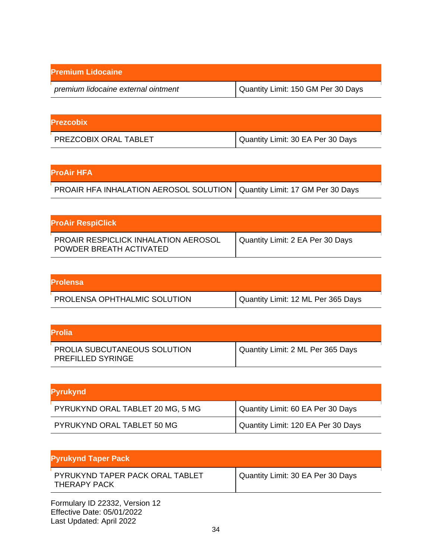| <b>Premium Lidocaine</b>            |                                    |
|-------------------------------------|------------------------------------|
| premium lidocaine external ointment | Quantity Limit: 150 GM Per 30 Days |

| <b>Prezcobix</b>      |                                     |
|-----------------------|-------------------------------------|
| PREZCOBIX ORAL TABLET | I Quantity Limit: 30 EA Per 30 Days |

| <b>ProAir HFA</b>                                                          |  |
|----------------------------------------------------------------------------|--|
| PROAIR HFA INHALATION AEROSOL SOLUTION   Quantity Limit: 17 GM Per 30 Days |  |

| <b>ProAir RespiClick</b>                                        |                                  |
|-----------------------------------------------------------------|----------------------------------|
| PROAIR RESPICLICK INHALATION AEROSOL<br>POWDER BREATH ACTIVATED | Quantity Limit: 2 EA Per 30 Days |

| <b>Prolensa</b>              |                                    |
|------------------------------|------------------------------------|
| PROLENSA OPHTHALMIC SOLUTION | Quantity Limit: 12 ML Per 365 Days |

| IProlia                                                  |                                   |
|----------------------------------------------------------|-----------------------------------|
| PROLIA SUBCUTANEOUS SOLUTION<br><b>PREFILLED SYRINGE</b> | Quantity Limit: 2 ML Per 365 Days |

| <b>Pyrukynd</b>                  |                                    |
|----------------------------------|------------------------------------|
| PYRUKYND ORAL TABLET 20 MG, 5 MG | Quantity Limit: 60 EA Per 30 Days  |
| PYRUKYND ORAL TABLET 50 MG       | Quantity Limit: 120 EA Per 30 Days |

| <b>Pyrukynd Taper Pack</b>                                      |                                   |
|-----------------------------------------------------------------|-----------------------------------|
| PYRUKYND TAPER PACK ORAL TABLET<br>THERAPY PACK                 | Quantity Limit: 30 EA Per 30 Days |
| Formulary ID 22332, Version 12<br>$Fff$ ective Date: 05/01/2022 |                                   |

Effective Date: 05/01/2022 Last Updated: April 2022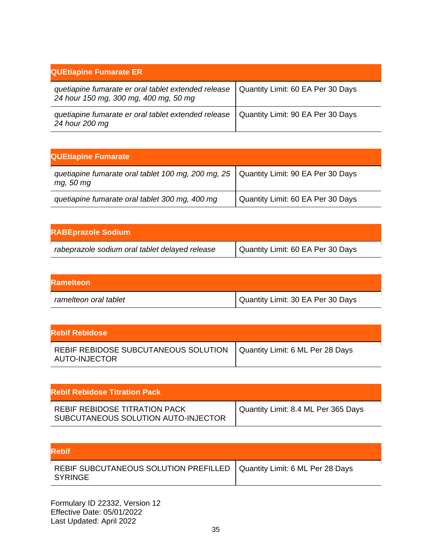| <b>QUEtiapine Fumarate ER</b>                                                                |                                   |
|----------------------------------------------------------------------------------------------|-----------------------------------|
| quetiapine fumarate er oral tablet extended release<br>24 hour 150 mg, 300 mg, 400 mg, 50 mg | Quantity Limit: 60 EA Per 30 Days |
| quetiapine fumarate er oral tablet extended release<br>24 hour 200 mg                        | Quantity Limit: 90 EA Per 30 Days |

| <b>QUEtiapine Fumarate</b>                                      |                                   |
|-----------------------------------------------------------------|-----------------------------------|
| quetiapine fumarate oral tablet 100 mg, 200 mg, 25<br>mg, 50 mg | Quantity Limit: 90 EA Per 30 Days |
| quetiapine fumarate oral tablet 300 mg, 400 mg                  | Quantity Limit: 60 EA Per 30 Days |

| <b>RABEprazole Sodium</b>                      |                                   |
|------------------------------------------------|-----------------------------------|
| rabeprazole sodium oral tablet delayed release | Quantity Limit: 60 EA Per 30 Days |

| <b>Ramelteon</b>      |                                   |
|-----------------------|-----------------------------------|
| ramelteon oral tablet | Quantity Limit: 30 EA Per 30 Days |

| <b>IRebif Rebidose</b>                                                                   |  |
|------------------------------------------------------------------------------------------|--|
| REBIF REBIDOSE SUBCUTANEOUS SOLUTION   Quantity Limit: 6 ML Per 28 Days<br>AUTO-INJECTOR |  |

| <b>Rebif Rebidose Titration Pack</b>                                        |                                     |
|-----------------------------------------------------------------------------|-------------------------------------|
| <b>REBIF REBIDOSE TITRATION PACK</b><br>SUBCUTANEOUS SOLUTION AUTO-INJECTOR | Quantity Limit: 8.4 ML Per 365 Days |

| <b>IRebif</b>                                                                              |  |
|--------------------------------------------------------------------------------------------|--|
| REBIF SUBCUTANEOUS SOLUTION PREFILLED   Quantity Limit: 6 ML Per 28 Days<br><b>SYRINGE</b> |  |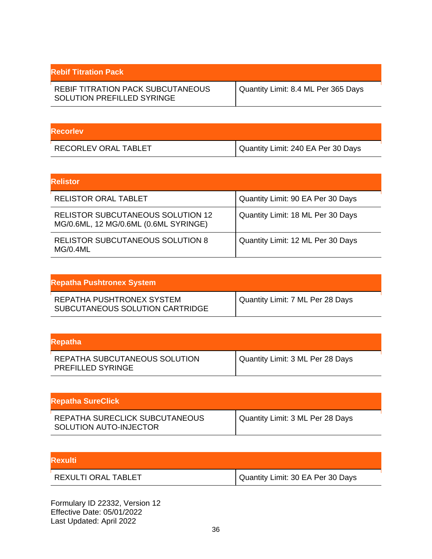| <b>Rebif Titration Pack</b>                                                   |                                     |
|-------------------------------------------------------------------------------|-------------------------------------|
| <b>REBIF TITRATION PACK SUBCUTANEOUS</b><br><b>SOLUTION PREFILLED SYRINGE</b> | Quantity Limit: 8.4 ML Per 365 Days |

| <b>Recorley</b>      |                                    |
|----------------------|------------------------------------|
| RECORLEV ORAL TABLET | Quantity Limit: 240 EA Per 30 Days |

| <b>Relistor</b>                                                                   |                                   |
|-----------------------------------------------------------------------------------|-----------------------------------|
| <b>RELISTOR ORAL TABLET</b>                                                       | Quantity Limit: 90 EA Per 30 Days |
| <b>RELISTOR SUBCUTANEOUS SOLUTION 12</b><br>MG/0.6ML, 12 MG/0.6ML (0.6ML SYRINGE) | Quantity Limit: 18 ML Per 30 Days |
| RELISTOR SUBCUTANEOUS SOLUTION 8<br>MG/0.4ML                                      | Quantity Limit: 12 ML Per 30 Days |

| <b>Repatha Pushtronex System</b>                             |                                  |
|--------------------------------------------------------------|----------------------------------|
| REPATHA PUSHTRONEX SYSTEM<br>SUBCUTANEOUS SOLUTION CARTRIDGE | Quantity Limit: 7 ML Per 28 Days |

| Repatha                                                   |                                  |
|-----------------------------------------------------------|----------------------------------|
| REPATHA SUBCUTANEOUS SOLUTION<br><b>PREFILLED SYRINGE</b> | Quantity Limit: 3 ML Per 28 Days |

| <b>Repatha SureClick</b>                                 |                                  |
|----------------------------------------------------------|----------------------------------|
| REPATHA SURECLICK SUBCUTANEOUS<br>SOLUTION AUTO-INJECTOR | Quantity Limit: 3 ML Per 28 Days |

| <b>IRexulti</b>     |                                   |
|---------------------|-----------------------------------|
| REXULTI ORAL TABLET | Quantity Limit: 30 EA Per 30 Days |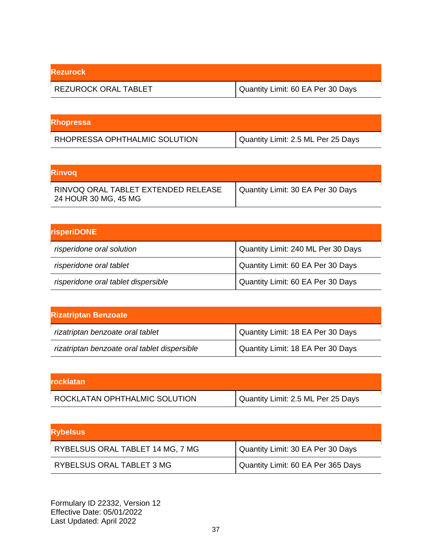| <b>Rezurock</b>      |                                   |
|----------------------|-----------------------------------|
| REZUROCK ORAL TABLET | Quantity Limit: 60 EA Per 30 Days |

| <b>Rhopressa</b>              |                                    |
|-------------------------------|------------------------------------|
| RHOPRESSA OPHTHALMIC SOLUTION | Quantity Limit: 2.5 ML Per 25 Days |

| <b>Rinvog</b>                                               |                                   |
|-------------------------------------------------------------|-----------------------------------|
| RINVOQ ORAL TABLET EXTENDED RELEASE<br>24 HOUR 30 MG, 45 MG | Quantity Limit: 30 EA Per 30 Days |

| <b>risperiDONE</b>                  |                                    |
|-------------------------------------|------------------------------------|
| risperidone oral solution           | Quantity Limit: 240 ML Per 30 Days |
| risperidone oral tablet             | Quantity Limit: 60 EA Per 30 Days  |
| risperidone oral tablet dispersible | Quantity Limit: 60 EA Per 30 Days  |

| <b>Rizatriptan Benzoate</b>                  |                                   |
|----------------------------------------------|-----------------------------------|
| rizatriptan benzoate oral tablet             | Quantity Limit: 18 EA Per 30 Days |
| rizatriptan benzoate oral tablet dispersible | Quantity Limit: 18 EA Per 30 Days |

| lrocklatan                    |                                    |
|-------------------------------|------------------------------------|
| ROCKLATAN OPHTHALMIC SOLUTION | Quantity Limit: 2.5 ML Per 25 Days |

| <b>Rybelsus</b>                  |                                    |
|----------------------------------|------------------------------------|
| RYBELSUS ORAL TABLET 14 MG, 7 MG | Quantity Limit: 30 EA Per 30 Days  |
| RYBELSUS ORAL TABLET 3 MG        | Quantity Limit: 60 EA Per 365 Days |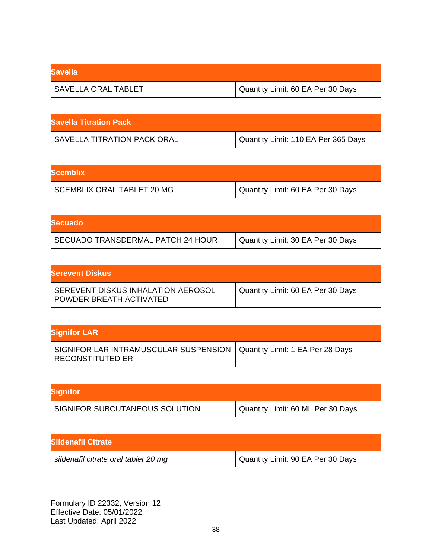| <b>Savella</b>      |                                   |
|---------------------|-----------------------------------|
| SAVELLA ORAL TABLET | Quantity Limit: 60 EA Per 30 Days |

| <b>Savella Titration Pack</b> |                                     |
|-------------------------------|-------------------------------------|
| SAVELLA TITRATION PACK ORAL   | Quantity Limit: 110 EA Per 365 Days |

| <b>Scemblix</b>                   |                                   |
|-----------------------------------|-----------------------------------|
| <b>SCEMBLIX ORAL TABLET 20 MG</b> | Quantity Limit: 60 EA Per 30 Days |

| <b>Secuado</b>                    |                                   |
|-----------------------------------|-----------------------------------|
| SECUADO TRANSDERMAL PATCH 24 HOUR | Quantity Limit: 30 EA Per 30 Days |

| <b>Serevent Diskus</b>                                        |                                   |
|---------------------------------------------------------------|-----------------------------------|
| SEREVENT DISKUS INHALATION AEROSOL<br>POWDER BREATH ACTIVATED | Quantity Limit: 60 EA Per 30 Days |

| <b>Signifor LAR</b>                                                                                 |  |
|-----------------------------------------------------------------------------------------------------|--|
| SIGNIFOR LAR INTRAMUSCULAR SUSPENSION   Quantity Limit: 1 EA Per 28 Days<br><b>RECONSTITUTED ER</b> |  |

| <b>Signifor</b>                |                                   |
|--------------------------------|-----------------------------------|
| SIGNIFOR SUBCUTANEOUS SOLUTION | Quantity Limit: 60 ML Per 30 Days |

| <b>Sildenafil Citrate</b>            |                                   |
|--------------------------------------|-----------------------------------|
| sildenafil citrate oral tablet 20 mg | Quantity Limit: 90 EA Per 30 Days |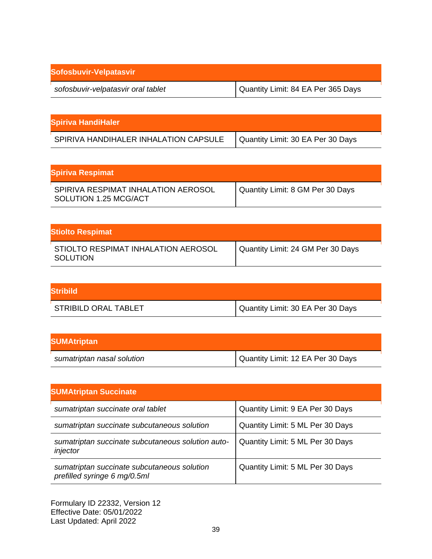| Sofosbuvir-Velpatasvir             |                                    |
|------------------------------------|------------------------------------|
| sofosbuvir-velpatasvir oral tablet | Quantity Limit: 84 EA Per 365 Days |

| Spiriva HandiHaler                    |                                   |
|---------------------------------------|-----------------------------------|
| SPIRIVA HANDIHALER INHALATION CAPSULE | Quantity Limit: 30 EA Per 30 Days |

| <b>Spiriva Respimat</b>                                      |                                  |
|--------------------------------------------------------------|----------------------------------|
| SPIRIVA RESPIMAT INHALATION AEROSOL<br>SOLUTION 1.25 MCG/ACT | Quantity Limit: 8 GM Per 30 Days |

| <b>Stiolto Respimat</b>                         |                                   |
|-------------------------------------------------|-----------------------------------|
| STIOLTO RESPIMAT INHALATION AEROSOL<br>SOLUTION | Quantity Limit: 24 GM Per 30 Days |

| <b>Stribild</b>      |                                   |
|----------------------|-----------------------------------|
| STRIBILD ORAL TABLET | Quantity Limit: 30 EA Per 30 Days |

| <b>SUMAtriptan</b>         |                                   |
|----------------------------|-----------------------------------|
| sumatriptan nasal solution | Quantity Limit: 12 EA Per 30 Days |

| <b>SUMAtriptan Succinate</b>                                                |                                  |
|-----------------------------------------------------------------------------|----------------------------------|
| sumatriptan succinate oral tablet                                           | Quantity Limit: 9 EA Per 30 Days |
| sumatriptan succinate subcutaneous solution                                 | Quantity Limit: 5 ML Per 30 Days |
| sumatriptan succinate subcutaneous solution auto-<br>injector               | Quantity Limit: 5 ML Per 30 Days |
| sumatriptan succinate subcutaneous solution<br>prefilled syringe 6 mg/0.5ml | Quantity Limit: 5 ML Per 30 Days |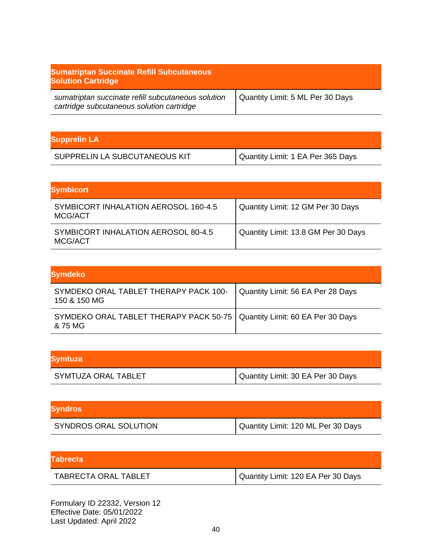| <b>Sumatriptan Succinate Refill Subcutaneous</b><br><b>Solution Cartridge</b>                   |                                  |
|-------------------------------------------------------------------------------------------------|----------------------------------|
| sumatriptan succinate refill subcutaneous solution<br>cartridge subcutaneous solution cartridge | Quantity Limit: 5 ML Per 30 Days |

| <b>Supprelin LA</b>           |                                   |
|-------------------------------|-----------------------------------|
| SUPPRELIN LA SUBCUTANEOUS KIT | Quantity Limit: 1 EA Per 365 Days |

| <b>Symbicort</b>                                |                                     |
|-------------------------------------------------|-------------------------------------|
| SYMBICORT INHALATION AEROSOL 160-4.5<br>MCG/ACT | Quantity Limit: 12 GM Per 30 Days   |
| SYMBICORT INHALATION AEROSOL 80-4.5<br>MCG/ACT  | Quantity Limit: 13.8 GM Per 30 Days |

| <b>Symdeko</b>                                                                        |                                   |
|---------------------------------------------------------------------------------------|-----------------------------------|
| SYMDEKO ORAL TABLET THERAPY PACK 100-<br>150 & 150 MG                                 | Quantity Limit: 56 EA Per 28 Days |
| SYMDEKO ORAL TABLET THERAPY PACK 50-75   Quantity Limit: 60 EA Per 30 Days<br>& 75 MG |                                   |

| <b>Symtuza</b>      |                                   |
|---------------------|-----------------------------------|
| SYMTUZA ORAL TABLET | Quantity Limit: 30 EA Per 30 Days |

| <b>Syndros</b>        |                                    |
|-----------------------|------------------------------------|
| SYNDROS ORAL SOLUTION | Quantity Limit: 120 ML Per 30 Days |

| <b>Tabrecta</b>      |                                    |
|----------------------|------------------------------------|
| TABRECTA ORAL TABLET | Quantity Limit: 120 EA Per 30 Days |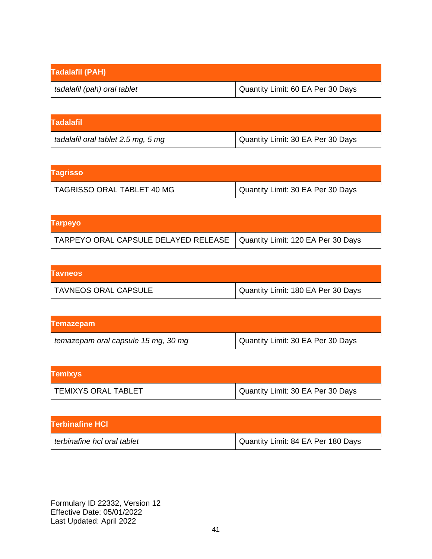| <b>Tadalafil (PAH)</b>      |                                   |
|-----------------------------|-----------------------------------|
| tadalafil (pah) oral tablet | Quantity Limit: 60 EA Per 30 Days |

| Tadalafil                          |                                   |
|------------------------------------|-----------------------------------|
| tadalafil oral tablet 2.5 mg, 5 mg | Quantity Limit: 30 EA Per 30 Days |

| <b>Tagrisso</b>            |                                     |
|----------------------------|-------------------------------------|
| TAGRISSO ORAL TABLET 40 MG | I Quantity Limit: 30 EA Per 30 Days |

| <b>Tarpeyo</b>                                                            |  |
|---------------------------------------------------------------------------|--|
| TARPEYO ORAL CAPSULE DELAYED RELEASE   Quantity Limit: 120 EA Per 30 Days |  |

| <b>Tavneos</b>              |                                    |
|-----------------------------|------------------------------------|
| <b>TAVNEOS ORAL CAPSULE</b> | Quantity Limit: 180 EA Per 30 Days |

| Temazepam                           |                                   |
|-------------------------------------|-----------------------------------|
| temazepam oral capsule 15 mg, 30 mg | Quantity Limit: 30 EA Per 30 Days |

| <b>Temixys</b>      |                                     |
|---------------------|-------------------------------------|
| TEMIXYS ORAL TABLET | I Quantity Limit: 30 EA Per 30 Days |

| <b>Terbinafine HCI</b>      |                                    |
|-----------------------------|------------------------------------|
| terbinafine hcl oral tablet | Quantity Limit: 84 EA Per 180 Days |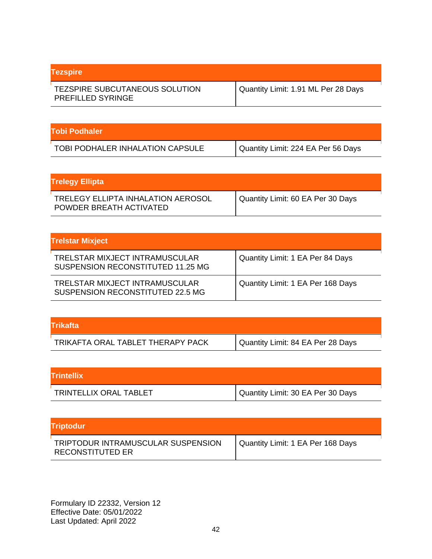| <b>Tezspire</b>                                                   |                                     |
|-------------------------------------------------------------------|-------------------------------------|
| <b>TEZSPIRE SUBCUTANEOUS SOLUTION</b><br><b>PREFILLED SYRINGE</b> | Quantity Limit: 1.91 ML Per 28 Days |

| <b>Tobi Podhaler</b>             |                                    |
|----------------------------------|------------------------------------|
| TOBI PODHALER INHALATION CAPSULE | Quantity Limit: 224 EA Per 56 Days |

| <b>Trelegy Ellipta</b>                                               |                                   |
|----------------------------------------------------------------------|-----------------------------------|
| <b>TRELEGY ELLIPTA INHALATION AEROSOL</b><br>POWDER BREATH ACTIVATED | Quantity Limit: 60 EA Per 30 Days |

| <b>Trelstar Mixject</b>                                             |                                   |
|---------------------------------------------------------------------|-----------------------------------|
| TRELSTAR MIXJECT INTRAMUSCULAR<br>SUSPENSION RECONSTITUTED 11.25 MG | Quantity Limit: 1 EA Per 84 Days  |
| TRELSTAR MIXJECT INTRAMUSCULAR<br>SUSPENSION RECONSTITUTED 22.5 MG  | Quantity Limit: 1 EA Per 168 Days |

| <b>Trikafta</b>                   |                                   |
|-----------------------------------|-----------------------------------|
| TRIKAFTA ORAL TABLET THERAPY PACK | Quantity Limit: 84 EA Per 28 Days |

| <b>Trintellix</b>      |                                   |
|------------------------|-----------------------------------|
| TRINTELLIX ORAL TABLET | Quantity Limit: 30 EA Per 30 Days |

| <b>Triptodur</b>                                              |                                   |
|---------------------------------------------------------------|-----------------------------------|
| TRIPTODUR INTRAMUSCULAR SUSPENSION<br><b>RECONSTITUTED ER</b> | Quantity Limit: 1 EA Per 168 Days |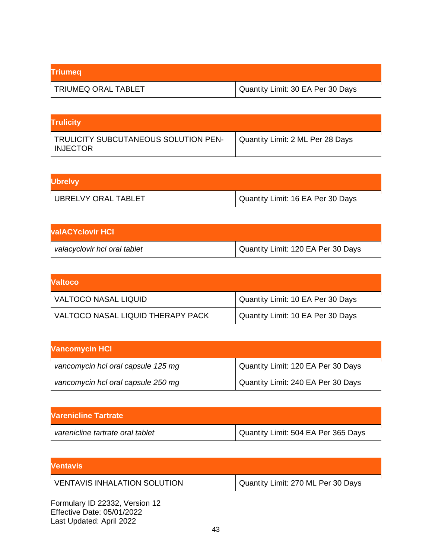| <b>Triumeg</b>      |                                   |
|---------------------|-----------------------------------|
| TRIUMEQ ORAL TABLET | Quantity Limit: 30 EA Per 30 Days |

| <b>Trulicity</b>                                        |                                  |
|---------------------------------------------------------|----------------------------------|
| TRULICITY SUBCUTANEOUS SOLUTION PEN-<br><b>INJECTOR</b> | Quantity Limit: 2 ML Per 28 Days |

| <b>Ubrelvy</b>      |                                   |
|---------------------|-----------------------------------|
| UBRELVY ORAL TABLET | Quantity Limit: 16 EA Per 30 Days |

| <b>valACYclovir HCl</b>      |                                    |
|------------------------------|------------------------------------|
| valacyclovir hcl oral tablet | Quantity Limit: 120 EA Per 30 Days |

| <b>Naltoco</b>                    |                                   |
|-----------------------------------|-----------------------------------|
| <b>VALTOCO NASAL LIQUID</b>       | Quantity Limit: 10 EA Per 30 Days |
| VALTOCO NASAL LIQUID THERAPY PACK | Quantity Limit: 10 EA Per 30 Days |

| <b>Vancomycin HCI</b>              |                                    |
|------------------------------------|------------------------------------|
| vancomycin hcl oral capsule 125 mg | Quantity Limit: 120 EA Per 30 Days |
| vancomycin hcl oral capsule 250 mg | Quantity Limit: 240 EA Per 30 Days |

| <b>Narenicline Tartrate</b>      |                                     |
|----------------------------------|-------------------------------------|
| varenicline tartrate oral tablet | Quantity Limit: 504 EA Per 365 Days |

| <b>Ventavis</b>                                              |                                    |
|--------------------------------------------------------------|------------------------------------|
| <b>VENTAVIS INHALATION SOLUTION</b>                          | Quantity Limit: 270 ML Per 30 Days |
| Formulary ID 22332, Version 12<br>Effective Date: 05/01/2022 |                                    |

Last Updated: April 2022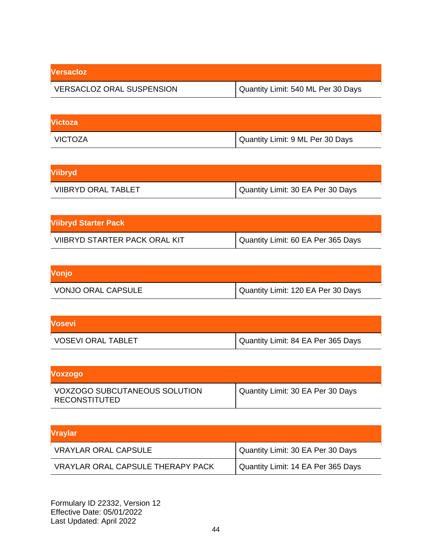| Versacloz                        |                                    |
|----------------------------------|------------------------------------|
| <b>VERSACLOZ ORAL SUSPENSION</b> | Quantity Limit: 540 ML Per 30 Days |

| Victoza |                                  |
|---------|----------------------------------|
| VICTOZA | Quantity Limit: 9 ML Per 30 Days |

| Viibryd                    |                                   |
|----------------------------|-----------------------------------|
| <b>VIIBRYD ORAL TABLET</b> | Quantity Limit: 30 EA Per 30 Days |

| <b>Viibryd Starter Pack</b>   |                                    |
|-------------------------------|------------------------------------|
| VIIBRYD STARTER PACK ORAL KIT | Quantity Limit: 60 EA Per 365 Days |

| Vonjo                     |                                    |
|---------------------------|------------------------------------|
| <b>VONJO ORAL CAPSULE</b> | Quantity Limit: 120 EA Per 30 Days |

| <b>Vosevi</b>             |                                    |
|---------------------------|------------------------------------|
| <b>VOSEVI ORAL TABLET</b> | Quantity Limit: 84 EA Per 365 Days |

| Voxzogo                                               |                                   |
|-------------------------------------------------------|-----------------------------------|
| <b>VOXZOGO SUBCUTANEOUS SOLUTION</b><br>RECONSTITUTED | Quantity Limit: 30 EA Per 30 Days |

| <b>Vraylar</b>                           |                                    |
|------------------------------------------|------------------------------------|
| <b>VRAYLAR ORAL CAPSULE</b>              | Quantity Limit: 30 EA Per 30 Days  |
| <b>VRAYLAR ORAL CAPSULE THERAPY PACK</b> | Quantity Limit: 14 EA Per 365 Days |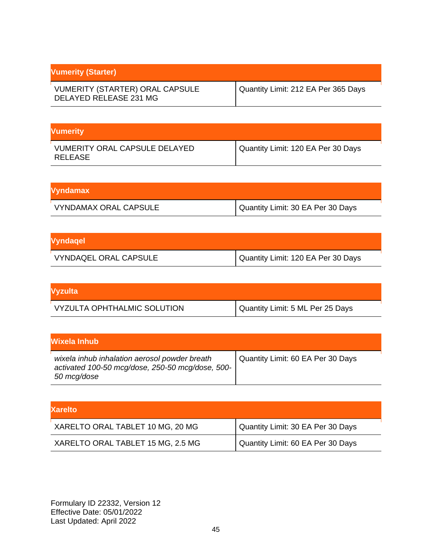| <b>Vumerity (Starter)</b>                                 |                                     |
|-----------------------------------------------------------|-------------------------------------|
| VUMERITY (STARTER) ORAL CAPSULE<br>DELAYED RELEASE 231 MG | Quantity Limit: 212 EA Per 365 Days |

| <b>Vumerity</b>                                 |                                    |
|-------------------------------------------------|------------------------------------|
| <b>VUMERITY ORAL CAPSULE DELAYED</b><br>RELEASE | Quantity Limit: 120 EA Per 30 Days |

| Vyndamax                     |                                   |
|------------------------------|-----------------------------------|
| <b>VYNDAMAX ORAL CAPSULE</b> | Quantity Limit: 30 EA Per 30 Days |

| <b>Vyndagel</b>              |                                    |
|------------------------------|------------------------------------|
| <b>VYNDAQEL ORAL CAPSULE</b> | Quantity Limit: 120 EA Per 30 Days |

| <b>Vyzulta</b>              |                                  |
|-----------------------------|----------------------------------|
| VYZULTA OPHTHALMIC SOLUTION | Quantity Limit: 5 ML Per 25 Days |

| lWixela Inhub                                                                                                    |                                   |
|------------------------------------------------------------------------------------------------------------------|-----------------------------------|
| wixela inhub inhalation aerosol powder breath<br>activated 100-50 mcg/dose, 250-50 mcg/dose, 500-<br>50 mcg/dose | Quantity Limit: 60 EA Per 30 Days |

| <b>Xarelto</b>                    |                                   |
|-----------------------------------|-----------------------------------|
| XARELTO ORAL TABLET 10 MG, 20 MG  | Quantity Limit: 30 EA Per 30 Days |
| XARELTO ORAL TABLET 15 MG, 2.5 MG | Quantity Limit: 60 EA Per 30 Days |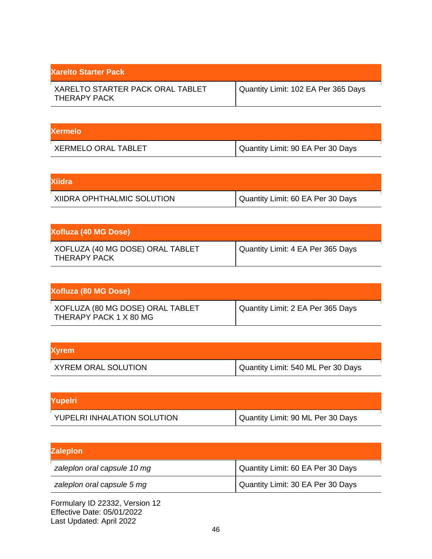| <b>Xarelto Starter Pack</b>                      |                                     |
|--------------------------------------------------|-------------------------------------|
| XARELTO STARTER PACK ORAL TABLET<br>THERAPY PACK | Quantity Limit: 102 EA Per 365 Days |

| <b>Xermelo</b>             |                                   |
|----------------------------|-----------------------------------|
| <b>XERMELO ORAL TABLET</b> | Quantity Limit: 90 EA Per 30 Days |

| <b>Xiidra</b>              |                                   |
|----------------------------|-----------------------------------|
| XIIDRA OPHTHALMIC SOLUTION | Quantity Limit: 60 EA Per 30 Days |

| Xofluza (40 MG Dose)                                    |                                   |
|---------------------------------------------------------|-----------------------------------|
| XOFLUZA (40 MG DOSE) ORAL TABLET<br><b>THERAPY PACK</b> | Quantity Limit: 4 EA Per 365 Days |

| Xofluza (80 MG Dose)                                       |                                   |
|------------------------------------------------------------|-----------------------------------|
| XOFLUZA (80 MG DOSE) ORAL TABLET<br>THERAPY PACK 1 X 80 MG | Quantity Limit: 2 EA Per 365 Days |

| <b>Xyrem</b>               |                                    |
|----------------------------|------------------------------------|
| <b>XYREM ORAL SOLUTION</b> | Quantity Limit: 540 ML Per 30 Days |

| Yupelri                     |                                   |
|-----------------------------|-----------------------------------|
| YUPELRI INHALATION SOLUTION | Quantity Limit: 90 ML Per 30 Days |

| <b>Zaleplon</b>             |                                   |
|-----------------------------|-----------------------------------|
| zaleplon oral capsule 10 mg | Quantity Limit: 60 EA Per 30 Days |
| zaleplon oral capsule 5 mg  | Quantity Limit: 30 EA Per 30 Days |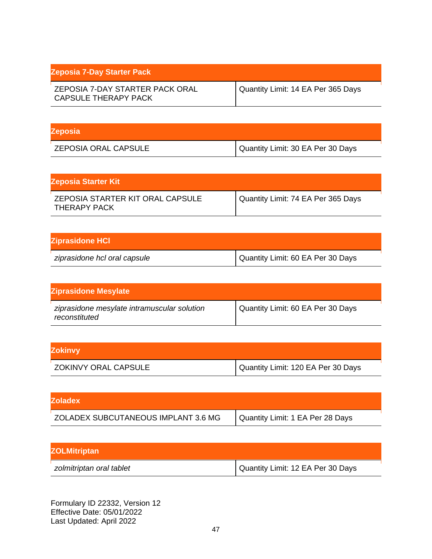| <b>Zeposia 7-Day Starter Pack</b>                              |                                    |
|----------------------------------------------------------------|------------------------------------|
| ZEPOSIA 7-DAY STARTER PACK ORAL<br><b>CAPSULE THERAPY PACK</b> | Quantity Limit: 14 EA Per 365 Days |

| <b>Zeposia</b>              |                                     |
|-----------------------------|-------------------------------------|
| <b>ZEPOSIA ORAL CAPSULE</b> | I Quantity Limit: 30 EA Per 30 Days |

| <b>Zeposia Starter Kit</b>                       |                                    |
|--------------------------------------------------|------------------------------------|
| ZEPOSIA STARTER KIT ORAL CAPSULE<br>THERAPY PACK | Quantity Limit: 74 EA Per 365 Days |

| <b>Ziprasidone HCI</b>       |                                     |
|------------------------------|-------------------------------------|
| ziprasidone hcl oral capsule | I Quantity Limit: 60 EA Per 30 Days |

| <b>Ziprasidone Mesylate</b>                                  |                                   |
|--------------------------------------------------------------|-----------------------------------|
| ziprasidone mesylate intramuscular solution<br>reconstituted | Quantity Limit: 60 EA Per 30 Days |

| <b>Zokinvy</b>       |                                    |
|----------------------|------------------------------------|
| ZOKINVY ORAL CAPSULE | Quantity Limit: 120 EA Per 30 Days |

| <b>IZoladex</b>                     |                                  |
|-------------------------------------|----------------------------------|
| ZOLADEX SUBCUTANEOUS IMPLANT 3.6 MG | Quantity Limit: 1 EA Per 28 Days |

| <b>ZOLMitriptan</b>      |                                   |
|--------------------------|-----------------------------------|
| zolmitriptan oral tablet | Quantity Limit: 12 EA Per 30 Days |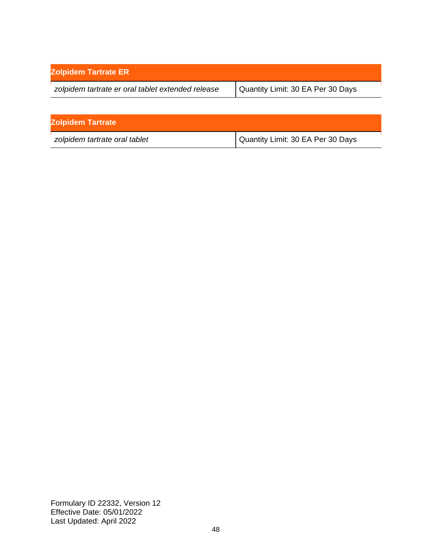| <b>Zolpidem Tartrate ER</b>                       |                                   |
|---------------------------------------------------|-----------------------------------|
| zolpidem tartrate er oral tablet extended release | Quantity Limit: 30 EA Per 30 Days |
|                                                   |                                   |

| <b>Zolpidem Tartrate</b>      |                                   |
|-------------------------------|-----------------------------------|
| zolpidem tartrate oral tablet | Quantity Limit: 30 EA Per 30 Days |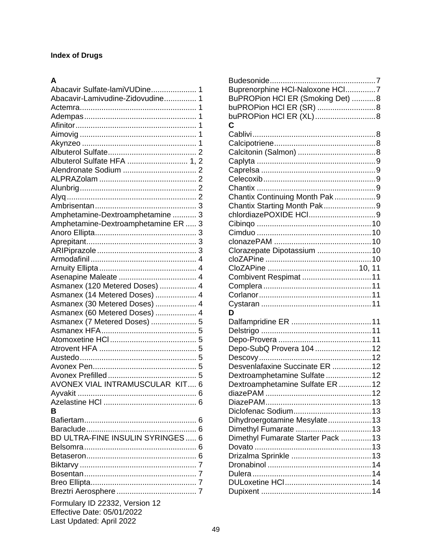### **Index of Drugs**

## $\mathbf{A}$

| Abacavir Sulfate-lamiVUDine 1       |  |
|-------------------------------------|--|
| Abacavir-Lamivudine-Zidovudine 1    |  |
|                                     |  |
|                                     |  |
|                                     |  |
|                                     |  |
|                                     |  |
|                                     |  |
| Albuterol Sulfate HFA  1, 2         |  |
|                                     |  |
|                                     |  |
|                                     |  |
|                                     |  |
|                                     |  |
| Amphetamine-Dextroamphetamine  3    |  |
| Amphetamine-Dextroamphetamine ER  3 |  |
|                                     |  |
|                                     |  |
|                                     |  |
|                                     |  |
|                                     |  |
|                                     |  |
| Asmanex (120 Metered Doses)  4      |  |
| Asmanex (14 Metered Doses)  4       |  |
| Asmanex (30 Metered Doses)  4       |  |
| Asmanex (60 Metered Doses)  4       |  |
| Asmanex (7 Metered Doses)  5        |  |
|                                     |  |
|                                     |  |
|                                     |  |
|                                     |  |
|                                     |  |
|                                     |  |
| AVONEX VIAL INTRAMUSCULAR KIT 6     |  |
|                                     |  |
|                                     |  |
| R                                   |  |
|                                     |  |
|                                     |  |
| BD ULTRA-FINE INSULIN SYRINGES 6    |  |
|                                     |  |
|                                     |  |
|                                     |  |
|                                     |  |
|                                     |  |
|                                     |  |
|                                     |  |
| Formulary ID 22332, Version 12      |  |
| <b>Effective Date: 05/01/2022</b>   |  |
| Last Updated: April 2022            |  |

| Buprenorphine HCI-Naloxone HCI7   |  |
|-----------------------------------|--|
| BuPROPion HCI ER (Smoking Det) 8  |  |
| buPROPion HCI ER (SR) 8           |  |
| buPROPion HCI ER (XL)8            |  |
| C                                 |  |
|                                   |  |
|                                   |  |
|                                   |  |
|                                   |  |
|                                   |  |
|                                   |  |
|                                   |  |
| Chantix Continuing Month Pak9     |  |
| Chantix Starting Month Pak9       |  |
| chlordiazePOXIDE HCl9             |  |
|                                   |  |
|                                   |  |
|                                   |  |
|                                   |  |
| Clorazepate Dipotassium  10       |  |
|                                   |  |
|                                   |  |
| Combivent Respimat 11             |  |
|                                   |  |
|                                   |  |
|                                   |  |
| D                                 |  |
|                                   |  |
|                                   |  |
|                                   |  |
| Depo-SubQ Provera 104 12          |  |
|                                   |  |
| Desvenlafaxine Succinate ER  12   |  |
| Dextroamphetamine Sulfate 12      |  |
| Dextroamphetamine Sulfate ER  12  |  |
| diazePAM                          |  |
|                                   |  |
|                                   |  |
| Dihydroergotamine Mesylate 13     |  |
|                                   |  |
| Dimethyl Fumarate Starter Pack 13 |  |
|                                   |  |
|                                   |  |
|                                   |  |
|                                   |  |
|                                   |  |
|                                   |  |
|                                   |  |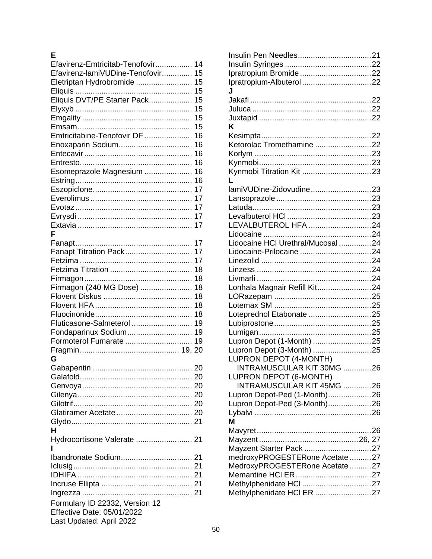### $\mathsf E$

| Efavirenz-Emtricitab-Tenofovir 14 |    |
|-----------------------------------|----|
| Efavirenz-lamiVUDine-Tenofovir 15 |    |
| Eletriptan Hydrobromide  15       |    |
|                                   |    |
| Eliquis DVT/PE Starter Pack 15    |    |
|                                   |    |
|                                   |    |
|                                   |    |
| Emtricitabine-Tenofovir DF  16    |    |
|                                   | 16 |
|                                   |    |
|                                   | 16 |
|                                   | 16 |
| Esomeprazole Magnesium            | 16 |
|                                   | 16 |
|                                   |    |
|                                   |    |
|                                   |    |
|                                   |    |
|                                   | 17 |
| F                                 |    |
|                                   | 17 |
| Fanapt Titration Pack 17          |    |
|                                   |    |
|                                   |    |
|                                   |    |
|                                   |    |
| Firmagon (240 MG Dose)  18        |    |
|                                   | 18 |
|                                   | 18 |
|                                   |    |
| Fluticasone-Salmeterol  19        |    |
|                                   |    |
| Formoterol Fumarate  19           |    |
|                                   |    |
| G                                 |    |
|                                   |    |
|                                   |    |
|                                   |    |
|                                   |    |
|                                   |    |
|                                   |    |
|                                   |    |
|                                   |    |
| н                                 |    |
| Hydrocortisone Valerate  21       |    |
| Ш                                 |    |
| Ibandronate Sodium 21             |    |
|                                   |    |
|                                   |    |
|                                   |    |
|                                   |    |
| Formulary ID 22332, Version 12    |    |
| <b>Effective Date: 05/01/2022</b> |    |
|                                   |    |
| Last Updated: April 2022          |    |

| Ipratropium-Albuterol 22          |
|-----------------------------------|
|                                   |
| J                                 |
|                                   |
|                                   |
|                                   |
| Κ                                 |
|                                   |
| Ketorolac Tromethamine 22         |
|                                   |
|                                   |
|                                   |
|                                   |
| L                                 |
| lamiVUDine-Zidovudine23           |
|                                   |
|                                   |
|                                   |
| LEVALBUTEROL HFA 24               |
|                                   |
|                                   |
| Lidocaine HCI Urethral/Mucosal 24 |
|                                   |
|                                   |
|                                   |
|                                   |
| Lonhala Magnair Refill Kit24      |
|                                   |
|                                   |
| Loteprednol Etabonate 25          |
|                                   |
|                                   |
|                                   |
| Lupron Depot (1-Month) 25         |
| Lupron Depot (3-Month) 25         |
| <b>LUPRON DEPOT (4-MONTH)</b>     |
| INTRAMUSCULAR KIT 30MG 26         |
| LUPRON DEPOT (6-MONTH)            |
| INTRAMUSCULAR KIT 45MG 26         |
|                                   |
| Lupron Depot-Ped (1-Month)26      |
| Lupron Depot-Ped (3-Month)26      |
|                                   |
| М                                 |
|                                   |
|                                   |
| Mayzent Starter Pack 27           |
| medroxyPROGESTERone Acetate 27    |
|                                   |
| MedroxyPROGESTERone Acetate 27    |
|                                   |
| Methylphenidate HCI 27            |
| Methylphenidate HCI ER 27         |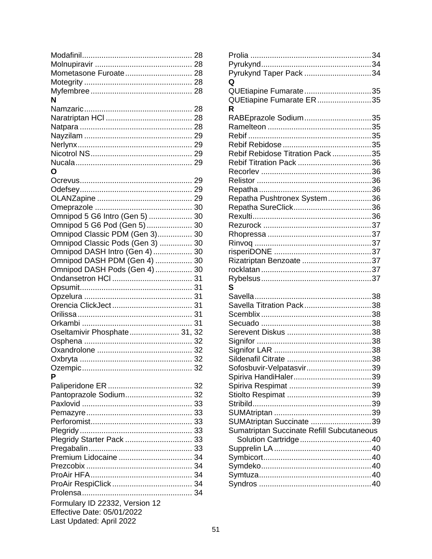| Mometasone Furoate 28            |  |
|----------------------------------|--|
|                                  |  |
|                                  |  |
| N                                |  |
|                                  |  |
|                                  |  |
|                                  |  |
|                                  |  |
|                                  |  |
|                                  |  |
|                                  |  |
|                                  |  |
| O                                |  |
|                                  |  |
|                                  |  |
|                                  |  |
|                                  |  |
| Omnipod 5 G6 Intro (Gen 5)  30   |  |
| Omnipod 5 G6 Pod (Gen 5) 30      |  |
| Omnipod Classic PDM (Gen 3) 30   |  |
| Omnipod Classic Pods (Gen 3)  30 |  |
| Omnipod DASH Intro (Gen 4)  30   |  |
| Omnipod DASH PDM (Gen 4)  30     |  |
| Omnipod DASH Pods (Gen 4)  30    |  |
|                                  |  |
|                                  |  |
|                                  |  |
|                                  |  |
|                                  |  |
|                                  |  |
|                                  |  |
| Oseltamivir Phosphate 31, 32     |  |
|                                  |  |
|                                  |  |
|                                  |  |
|                                  |  |
| P                                |  |
|                                  |  |
| Pantoprazole Sodium 32           |  |
|                                  |  |
|                                  |  |
|                                  |  |
|                                  |  |
| Plegridy Starter Pack  33        |  |
|                                  |  |
|                                  |  |
|                                  |  |
|                                  |  |
|                                  |  |
|                                  |  |
|                                  |  |
| Formulary ID 22332, Version 12   |  |
| Effective Date: 05/01/2022       |  |
| Last Updated: April 2022         |  |

| Pyrukynd Taper Pack 34                    |  |
|-------------------------------------------|--|
| Q                                         |  |
| QUEtiapine Fumarate35                     |  |
| QUEtiapine Fumarate ER35                  |  |
| R                                         |  |
| RABEprazole Sodium35                      |  |
|                                           |  |
|                                           |  |
|                                           |  |
| Rebif Rebidose Titration Pack35           |  |
|                                           |  |
|                                           |  |
|                                           |  |
|                                           |  |
| Repatha Pushtronex System36               |  |
|                                           |  |
|                                           |  |
|                                           |  |
|                                           |  |
|                                           |  |
|                                           |  |
|                                           |  |
| Rizatriptan Benzoate 37                   |  |
|                                           |  |
|                                           |  |
| S                                         |  |
|                                           |  |
| Savella Titration Pack38                  |  |
|                                           |  |
|                                           |  |
|                                           |  |
|                                           |  |
|                                           |  |
|                                           |  |
| Sofosbuvir-Velpatasvir39                  |  |
|                                           |  |
|                                           |  |
|                                           |  |
|                                           |  |
|                                           |  |
| SUMAtriptan Succinate 39                  |  |
| Sumatriptan Succinate Refill Subcutaneous |  |
| Solution Cartridge40                      |  |
|                                           |  |
|                                           |  |
|                                           |  |
|                                           |  |
|                                           |  |
|                                           |  |